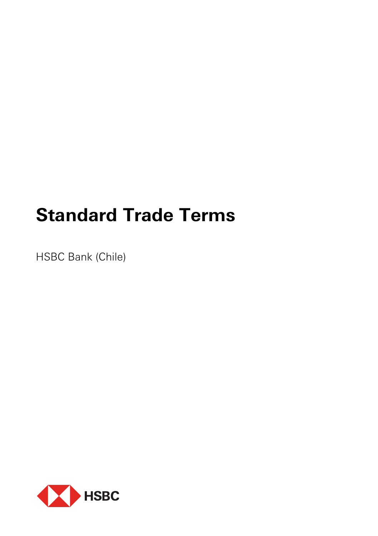# **Standard Trade Terms**

HSBC Bank (Chile)

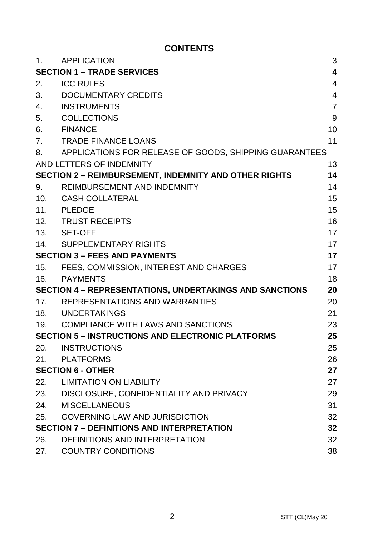# **CONTENTS**

| 1.                                                             | <b>APPLICATION</b>                                           | 3              |
|----------------------------------------------------------------|--------------------------------------------------------------|----------------|
| <b>SECTION 1 - TRADE SERVICES</b>                              |                                                              | 4              |
| 2.                                                             | <b>ICC RULES</b>                                             | 4              |
| 3.                                                             | DOCUMENTARY CREDITS                                          | $\overline{4}$ |
| 4.                                                             | INSTRUMENTS                                                  | $\overline{7}$ |
| 5.                                                             | COLLECTIONS                                                  | 9              |
| 6.                                                             | <b>FINANCE</b>                                               | 10             |
| 7.                                                             | <b>TRADE FINANCE LOANS</b>                                   | 11             |
| 8.                                                             | APPLICATIONS FOR RELEASE OF GOODS, SHIPPING GUARANTEES       |                |
|                                                                | AND LETTERS OF INDEMNITY                                     | 13             |
|                                                                | <b>SECTION 2 - REIMBURSEMENT, INDEMNITY AND OTHER RIGHTS</b> | 14             |
| 9.                                                             | REIMBURSEMENT AND INDEMNITY                                  | 14             |
| 10.                                                            | CASH COLLATERAL                                              | 15             |
|                                                                | 11. PLEDGE                                                   | 15             |
| 12.                                                            | <b>TRUST RECEIPTS</b>                                        | 16             |
|                                                                | 13. SET-OFF                                                  | 17             |
| 14.                                                            | SUPPLEMENTARY RIGHTS                                         | 17             |
| <b>SECTION 3 - FEES AND PAYMENTS</b>                           |                                                              | 17             |
| 15.                                                            | FEES, COMMISSION, INTEREST AND CHARGES                       | 17             |
|                                                                | 16. PAYMENTS                                                 | 18             |
| <b>SECTION 4 - REPRESENTATIONS, UNDERTAKINGS AND SANCTIONS</b> |                                                              | 20             |
|                                                                | 17. REPRESENTATIONS AND WARRANTIES                           | 20             |
|                                                                | 18. UNDERTAKINGS                                             | 21             |
|                                                                | 19. COMPLIANCE WITH LAWS AND SANCTIONS                       | 23             |
| <b>SECTION 5 - INSTRUCTIONS AND ELECTRONIC PLATFORMS</b>       |                                                              | 25             |
| 20.                                                            | INSTRUCTIONS                                                 | 25             |
|                                                                | 21. PLATFORMS                                                | 26             |
|                                                                | <b>SECTION 6 - OTHER</b>                                     | 27             |
| 22.                                                            | <b>LIMITATION ON LIABILITY</b>                               | 27             |
|                                                                | 23. DISCLOSURE, CONFIDENTIALITY AND PRIVACY                  | 29             |
| 24.                                                            | MISCELLANEOUS                                                | 31             |
| 25.                                                            | <b>GOVERNING LAW AND JURISDICTION</b>                        | 32             |
| <b>SECTION 7 - DEFINITIONS AND INTERPRETATION</b>              |                                                              | 32             |
| 26.                                                            | DEFINITIONS AND INTERPRETATION                               | 32             |
| 27.                                                            | <b>COUNTRY CONDITIONS</b>                                    | 38             |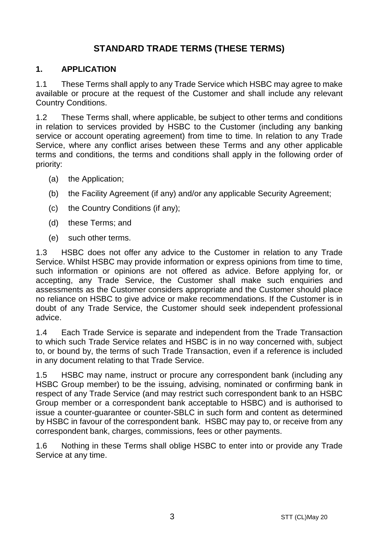# **STANDARD TRADE TERMS (THESE TERMS)**

#### **1. APPLICATION**

1.1 These Terms shall apply to any Trade Service which HSBC may agree to make available or procure at the request of the Customer and shall include any relevant Country Conditions.

1.2 These Terms shall, where applicable, be subject to other terms and conditions in relation to services provided by HSBC to the Customer (including any banking service or account operating agreement) from time to time. In relation to any Trade Service, where any conflict arises between these Terms and any other applicable terms and conditions, the terms and conditions shall apply in the following order of priority:

- (a) the Application;
- (b) the Facility Agreement (if any) and/or any applicable Security Agreement;
- (c) the Country Conditions (if any);
- (d) these Terms; and
- (e) such other terms.

1.3 HSBC does not offer any advice to the Customer in relation to any Trade Service. Whilst HSBC may provide information or express opinions from time to time, such information or opinions are not offered as advice. Before applying for, or accepting, any Trade Service, the Customer shall make such enquiries and assessments as the Customer considers appropriate and the Customer should place no reliance on HSBC to give advice or make recommendations. If the Customer is in doubt of any Trade Service, the Customer should seek independent professional advice.

1.4 Each Trade Service is separate and independent from the Trade Transaction to which such Trade Service relates and HSBC is in no way concerned with, subject to, or bound by, the terms of such Trade Transaction, even if a reference is included in any document relating to that Trade Service.

1.5 HSBC may name, instruct or procure any correspondent bank (including any HSBC Group member) to be the issuing, advising, nominated or confirming bank in respect of any Trade Service (and may restrict such correspondent bank to an HSBC Group member or a correspondent bank acceptable to HSBC) and is authorised to issue a counter-guarantee or counter-SBLC in such form and content as determined by HSBC in favour of the correspondent bank. HSBC may pay to, or receive from any correspondent bank, charges, commissions, fees or other payments.

1.6 Nothing in these Terms shall oblige HSBC to enter into or provide any Trade Service at any time.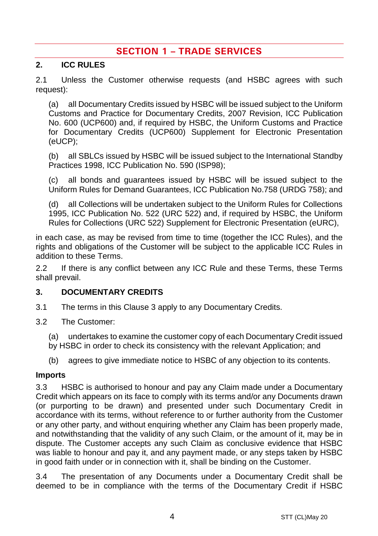# **SECTION 1 – TRADE SERVICES**

#### **2. ICC RULES**

2.1 Unless the Customer otherwise requests (and HSBC agrees with such request):

(a) all Documentary Credits issued by HSBC will be issued subject to the Uniform Customs and Practice for Documentary Credits, 2007 Revision, ICC Publication No. 600 (UCP600) and, if required by HSBC, the Uniform Customs and Practice for Documentary Credits (UCP600) Supplement for Electronic Presentation (eUCP);

(b) all SBLCs issued by HSBC will be issued subject to the International Standby Practices 1998, ICC Publication No. 590 (ISP98);

(c) all bonds and guarantees issued by HSBC will be issued subject to the Uniform Rules for Demand Guarantees, ICC Publication No.758 (URDG 758); and

(d) all Collections will be undertaken subject to the Uniform Rules for Collections 1995, ICC Publication No. 522 (URC 522) and, if required by HSBC, the Uniform Rules for Collections (URC 522) Supplement for Electronic Presentation (eURC),

in each case, as may be revised from time to time (together the ICC Rules), and the rights and obligations of the Customer will be subject to the applicable ICC Rules in addition to these Terms.

2.2 If there is any conflict between any ICC Rule and these Terms, these Terms shall prevail.

#### **3. DOCUMENTARY CREDITS**

- 3.1 The terms in this Clause 3 apply to any Documentary Credits.
- 3.2 The Customer:
	- (a) undertakes to examine the customer copy of each Documentary Credit issued
	- by HSBC in order to check its consistency with the relevant Application; and
	- (b) agrees to give immediate notice to HSBC of any objection to its contents.

#### **Imports**

3.3 HSBC is authorised to honour and pay any Claim made under a Documentary Credit which appears on its face to comply with its terms and/or any Documents drawn (or purporting to be drawn) and presented under such Documentary Credit in accordance with its terms, without reference to or further authority from the Customer or any other party, and without enquiring whether any Claim has been properly made, and notwithstanding that the validity of any such Claim, or the amount of it, may be in dispute. The Customer accepts any such Claim as conclusive evidence that HSBC was liable to honour and pay it, and any payment made, or any steps taken by HSBC in good faith under or in connection with it, shall be binding on the Customer.

3.4 The presentation of any Documents under a Documentary Credit shall be deemed to be in compliance with the terms of the Documentary Credit if HSBC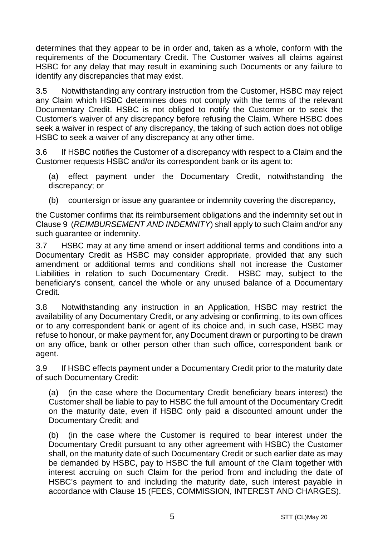determines that they appear to be in order and, taken as a whole, conform with the requirements of the Documentary Credit. The Customer waives all claims against HSBC for any delay that may result in examining such Documents or any failure to identify any discrepancies that may exist.

3.5 Notwithstanding any contrary instruction from the Customer, HSBC may reject any Claim which HSBC determines does not comply with the terms of the relevant Documentary Credit. HSBC is not obliged to notify the Customer or to seek the Customer's waiver of any discrepancy before refusing the Claim. Where HSBC does seek a waiver in respect of any discrepancy, the taking of such action does not oblige HSBC to seek a waiver of any discrepancy at any other time.

3.6 If HSBC notifies the Customer of a discrepancy with respect to a Claim and the Customer requests HSBC and/or its correspondent bank or its agent to:

(a) effect payment under the Documentary Credit, notwithstanding the discrepancy; or

(b) countersign or issue any guarantee or indemnity covering the discrepancy,

the Customer confirms that its reimbursement obligations and the indemnity set out in Clause 9 (*REIMBURSEMENT AND INDEMNITY*) shall apply to such Claim and/or any such guarantee or indemnity.

3.7 HSBC may at any time amend or insert additional terms and conditions into a Documentary Credit as HSBC may consider appropriate, provided that any such amendment or additional terms and conditions shall not increase the Customer Liabilities in relation to such Documentary Credit. HSBC may, subject to the beneficiary's consent, cancel the whole or any unused balance of a Documentary Credit.

3.8 Notwithstanding any instruction in an Application, HSBC may restrict the availability of any Documentary Credit, or any advising or confirming, to its own offices or to any correspondent bank or agent of its choice and, in such case, HSBC may refuse to honour, or make payment for, any Document drawn or purporting to be drawn on any office, bank or other person other than such office, correspondent bank or agent.

3.9 If HSBC effects payment under a Documentary Credit prior to the maturity date of such Documentary Credit:

(a) (in the case where the Documentary Credit beneficiary bears interest) the Customer shall be liable to pay to HSBC the full amount of the Documentary Credit on the maturity date, even if HSBC only paid a discounted amount under the Documentary Credit; and

(b) (in the case where the Customer is required to bear interest under the Documentary Credit pursuant to any other agreement with HSBC) the Customer shall, on the maturity date of such Documentary Credit or such earlier date as may be demanded by HSBC, pay to HSBC the full amount of the Claim together with interest accruing on such Claim for the period from and including the date of HSBC's payment to and including the maturity date, such interest payable in accordance with Clause 15 (FEES, COMMISSION, INTEREST AND CHARGES).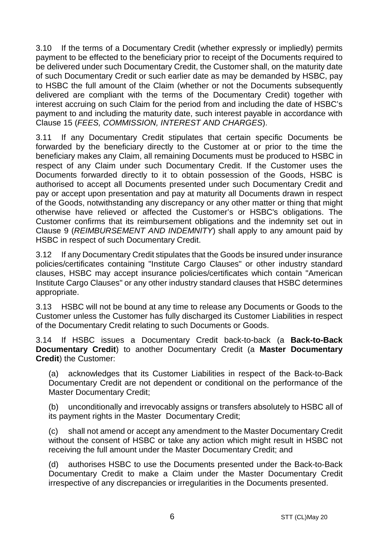3.10 If the terms of a Documentary Credit (whether expressly or impliedly) permits payment to be effected to the beneficiary prior to receipt of the Documents required to be delivered under such Documentary Credit, the Customer shall, on the maturity date of such Documentary Credit or such earlier date as may be demanded by HSBC, pay to HSBC the full amount of the Claim (whether or not the Documents subsequently delivered are compliant with the terms of the Documentary Credit) together with interest accruing on such Claim for the period from and including the date of HSBC's payment to and including the maturity date, such interest payable in accordance with Clause 15 (*FEES, COMMISSION, INTEREST AND CHARGES*).

3.11 If any Documentary Credit stipulates that certain specific Documents be forwarded by the beneficiary directly to the Customer at or prior to the time the beneficiary makes any Claim, all remaining Documents must be produced to HSBC in respect of any Claim under such Documentary Credit. If the Customer uses the Documents forwarded directly to it to obtain possession of the Goods, HSBC is authorised to accept all Documents presented under such Documentary Credit and pay or accept upon presentation and pay at maturity all Documents drawn in respect of the Goods, notwithstanding any discrepancy or any other matter or thing that might otherwise have relieved or affected the Customer's or HSBC's obligations. The Customer confirms that its reimbursement obligations and the indemnity set out in Clause 9 (*REIMBURSEMENT AND INDEMNITY*) shall apply to any amount paid by HSBC in respect of such Documentary Credit.

3.12 If any Documentary Credit stipulates that the Goods be insured under insurance policies/certificates containing "Institute Cargo Clauses" or other industry standard clauses, HSBC may accept insurance policies/certificates which contain "American Institute Cargo Clauses" or any other industry standard clauses that HSBC determines appropriate.

3.13 HSBC will not be bound at any time to release any Documents or Goods to the Customer unless the Customer has fully discharged its Customer Liabilities in respect of the Documentary Credit relating to such Documents or Goods.

3.14 If HSBC issues a Documentary Credit back-to-back (a **Back-to-Back Documentary Credit**) to another Documentary Credit (a **Master Documentary Credit**) the Customer:

(a) acknowledges that its Customer Liabilities in respect of the Back-to-Back Documentary Credit are not dependent or conditional on the performance of the Master Documentary Credit;

(b) unconditionally and irrevocably assigns or transfers absolutely to HSBC all of its payment rights in the Master Documentary Credit;

(c) shall not amend or accept any amendment to the Master Documentary Credit without the consent of HSBC or take any action which might result in HSBC not receiving the full amount under the Master Documentary Credit; and

(d) authorises HSBC to use the Documents presented under the Back-to-Back Documentary Credit to make a Claim under the Master Documentary Credit irrespective of any discrepancies or irregularities in the Documents presented.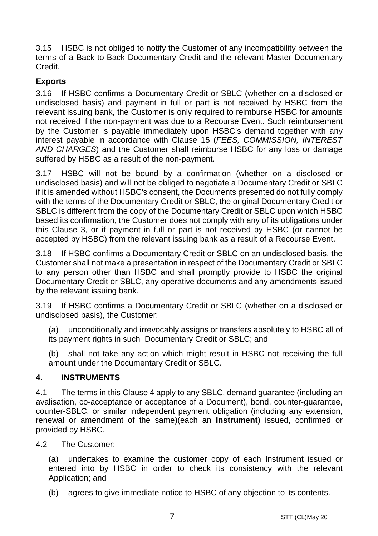3.15 HSBC is not obliged to notify the Customer of any incompatibility between the terms of a Back-to-Back Documentary Credit and the relevant Master Documentary Credit.

# **Exports**

3.16 If HSBC confirms a Documentary Credit or SBLC (whether on a disclosed or undisclosed basis) and payment in full or part is not received by HSBC from the relevant issuing bank, the Customer is only required to reimburse HSBC for amounts not received if the non-payment was due to a Recourse Event. Such reimbursement by the Customer is payable immediately upon HSBC's demand together with any interest payable in accordance with Clause 15 (*FEES, COMMISSION, INTEREST AND CHARGES*) and the Customer shall reimburse HSBC for any loss or damage suffered by HSBC as a result of the non-payment.

3.17 HSBC will not be bound by a confirmation (whether on a disclosed or undisclosed basis) and will not be obliged to negotiate a Documentary Credit or SBLC if it is amended without HSBC's consent, the Documents presented do not fully comply with the terms of the Documentary Credit or SBLC, the original Documentary Credit or SBLC is different from the copy of the Documentary Credit or SBLC upon which HSBC based its confirmation, the Customer does not comply with any of its obligations under this Clause 3, or if payment in full or part is not received by HSBC (or cannot be accepted by HSBC) from the relevant issuing bank as a result of a Recourse Event.

3.18 If HSBC confirms a Documentary Credit or SBLC on an undisclosed basis, the Customer shall not make a presentation in respect of the Documentary Credit or SBLC to any person other than HSBC and shall promptly provide to HSBC the original Documentary Credit or SBLC, any operative documents and any amendments issued by the relevant issuing bank.

3.19 If HSBC confirms a Documentary Credit or SBLC (whether on a disclosed or undisclosed basis), the Customer:

(a) unconditionally and irrevocably assigns or transfers absolutely to HSBC all of its payment rights in such Documentary Credit or SBLC; and

(b) shall not take any action which might result in HSBC not receiving the full amount under the Documentary Credit or SBLC.

### **4. INSTRUMENTS**

4.1 The terms in this Clause 4 apply to any SBLC, demand guarantee (including an avalisation, co-acceptance or acceptance of a Document), bond, counter-guarantee, counter-SBLC, or similar independent payment obligation (including any extension, renewal or amendment of the same)(each an **Instrument**) issued, confirmed or provided by HSBC.

4.2 The Customer:

(a) undertakes to examine the customer copy of each Instrument issued or entered into by HSBC in order to check its consistency with the relevant Application; and

(b) agrees to give immediate notice to HSBC of any objection to its contents.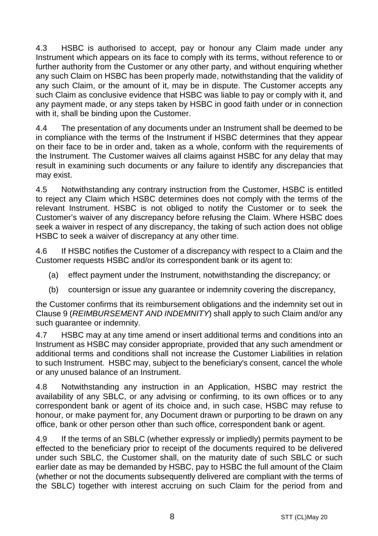4.3 HSBC is authorised to accept, pay or honour any Claim made under any Instrument which appears on its face to comply with its terms, without reference to or further authority from the Customer or any other party, and without enquiring whether any such Claim on HSBC has been properly made, notwithstanding that the validity of any such Claim, or the amount of it, may be in dispute. The Customer accepts any such Claim as conclusive evidence that HSBC was liable to pay or comply with it, and any payment made, or any steps taken by HSBC in good faith under or in connection with it, shall be binding upon the Customer.

4.4 The presentation of any documents under an Instrument shall be deemed to be in compliance with the terms of the Instrument if HSBC determines that they appear on their face to be in order and, taken as a whole, conform with the requirements of the Instrument. The Customer waives all claims against HSBC for any delay that may result in examining such documents or any failure to identify any discrepancies that may exist.

4.5 Notwithstanding any contrary instruction from the Customer, HSBC is entitled to reject any Claim which HSBC determines does not comply with the terms of the relevant Instrument. HSBC is not obliged to notify the Customer or to seek the Customer's waiver of any discrepancy before refusing the Claim. Where HSBC does seek a waiver in respect of any discrepancy, the taking of such action does not oblige HSBC to seek a waiver of discrepancy at any other time.

4.6 If HSBC notifies the Customer of a discrepancy with respect to a Claim and the Customer requests HSBC and/or its correspondent bank or its agent to:

- (a) effect payment under the Instrument, notwithstanding the discrepancy; or
- (b) countersign or issue any guarantee or indemnity covering the discrepancy,

the Customer confirms that its reimbursement obligations and the indemnity set out in Clause 9 (*REIMBURSEMENT AND INDEMNITY*) shall apply to such Claim and/or any such guarantee or indemnity.

4.7 HSBC may at any time amend or insert additional terms and conditions into an Instrument as HSBC may consider appropriate, provided that any such amendment or additional terms and conditions shall not increase the Customer Liabilities in relation to such Instrument. HSBC may, subject to the beneficiary's consent, cancel the whole or any unused balance of an Instrument.

4.8 Notwithstanding any instruction in an Application, HSBC may restrict the availability of any SBLC, or any advising or confirming, to its own offices or to any correspondent bank or agent of its choice and, in such case, HSBC may refuse to honour, or make payment for, any Document drawn or purporting to be drawn on any office, bank or other person other than such office, correspondent bank or agent.

4.9 If the terms of an SBLC (whether expressly or impliedly) permits payment to be effected to the beneficiary prior to receipt of the documents required to be delivered under such SBLC, the Customer shall, on the maturity date of such SBLC or such earlier date as may be demanded by HSBC, pay to HSBC the full amount of the Claim (whether or not the documents subsequently delivered are compliant with the terms of the SBLC) together with interest accruing on such Claim for the period from and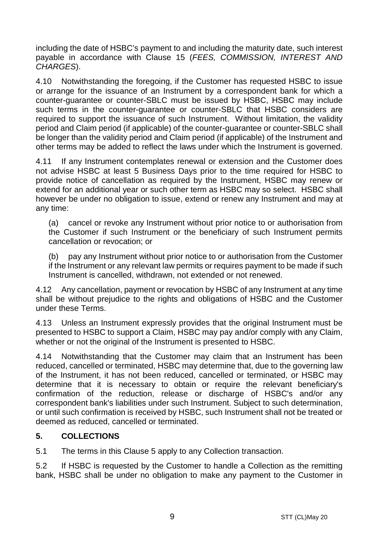including the date of HSBC's payment to and including the maturity date, such interest payable in accordance with Clause 15 (*FEES, COMMISSION, INTEREST AND CHARGES*).

4.10 Notwithstanding the foregoing, if the Customer has requested HSBC to issue or arrange for the issuance of an Instrument by a correspondent bank for which a counter-guarantee or counter-SBLC must be issued by HSBC, HSBC may include such terms in the counter-guarantee or counter-SBLC that HSBC considers are required to support the issuance of such Instrument. Without limitation, the validity period and Claim period (if applicable) of the counter-guarantee or counter-SBLC shall be longer than the validity period and Claim period (if applicable) of the Instrument and other terms may be added to reflect the laws under which the Instrument is governed.

4.11 If any Instrument contemplates renewal or extension and the Customer does not advise HSBC at least 5 Business Days prior to the time required for HSBC to provide notice of cancellation as required by the Instrument, HSBC may renew or extend for an additional year or such other term as HSBC may so select. HSBC shall however be under no obligation to issue, extend or renew any Instrument and may at any time:

(a) cancel or revoke any Instrument without prior notice to or authorisation from the Customer if such Instrument or the beneficiary of such Instrument permits cancellation or revocation; or

(b) pay any Instrument without prior notice to or authorisation from the Customer if the Instrument or any relevant law permits or requires payment to be made if such Instrument is cancelled, withdrawn, not extended or not renewed.

4.12 Any cancellation, payment or revocation by HSBC of any Instrument at any time shall be without prejudice to the rights and obligations of HSBC and the Customer under these Terms.

4.13 Unless an Instrument expressly provides that the original Instrument must be presented to HSBC to support a Claim, HSBC may pay and/or comply with any Claim, whether or not the original of the Instrument is presented to HSBC.

4.14 Notwithstanding that the Customer may claim that an Instrument has been reduced, cancelled or terminated, HSBC may determine that, due to the governing law of the Instrument, it has not been reduced, cancelled or terminated, or HSBC may determine that it is necessary to obtain or require the relevant beneficiary's confirmation of the reduction, release or discharge of HSBC's and/or any correspondent bank's liabilities under such Instrument. Subject to such determination, or until such confirmation is received by HSBC, such Instrument shall not be treated or deemed as reduced, cancelled or terminated.

## **5. COLLECTIONS**

5.1 The terms in this Clause 5 apply to any Collection transaction.

5.2 If HSBC is requested by the Customer to handle a Collection as the remitting bank, HSBC shall be under no obligation to make any payment to the Customer in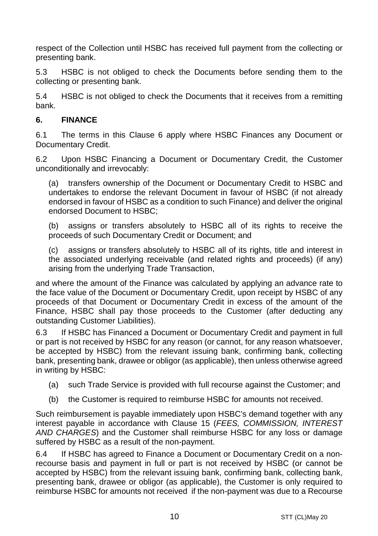respect of the Collection until HSBC has received full payment from the collecting or presenting bank.

5.3 HSBC is not obliged to check the Documents before sending them to the collecting or presenting bank.

5.4 HSBC is not obliged to check the Documents that it receives from a remitting bank.

## **6. FINANCE**

6.1 The terms in this Clause 6 apply where HSBC Finances any Document or Documentary Credit.

6.2 Upon HSBC Financing a Document or Documentary Credit, the Customer unconditionally and irrevocably:

(a) transfers ownership of the Document or Documentary Credit to HSBC and undertakes to endorse the relevant Document in favour of HSBC (if not already endorsed in favour of HSBC as a condition to such Finance) and deliver the original endorsed Document to HSBC;

(b) assigns or transfers absolutely to HSBC all of its rights to receive the proceeds of such Documentary Credit or Document; and

(c) assigns or transfers absolutely to HSBC all of its rights, title and interest in the associated underlying receivable (and related rights and proceeds) (if any) arising from the underlying Trade Transaction,

and where the amount of the Finance was calculated by applying an advance rate to the face value of the Document or Documentary Credit, upon receipt by HSBC of any proceeds of that Document or Documentary Credit in excess of the amount of the Finance, HSBC shall pay those proceeds to the Customer (after deducting any outstanding Customer Liabilities).

6.3 If HSBC has Financed a Document or Documentary Credit and payment in full or part is not received by HSBC for any reason (or cannot, for any reason whatsoever, be accepted by HSBC) from the relevant issuing bank, confirming bank, collecting bank, presenting bank, drawee or obligor (as applicable), then unless otherwise agreed in writing by HSBC:

- (a) such Trade Service is provided with full recourse against the Customer; and
- (b) the Customer is required to reimburse HSBC for amounts not received.

Such reimbursement is payable immediately upon HSBC's demand together with any interest payable in accordance with Clause 15 (*FEES, COMMISSION, INTEREST AND CHARGES*) and the Customer shall reimburse HSBC for any loss or damage suffered by HSBC as a result of the non-payment.

6.4 If HSBC has agreed to Finance a Document or Documentary Credit on a nonrecourse basis and payment in full or part is not received by HSBC (or cannot be accepted by HSBC) from the relevant issuing bank, confirming bank, collecting bank, presenting bank, drawee or obligor (as applicable), the Customer is only required to reimburse HSBC for amounts not received if the non-payment was due to a Recourse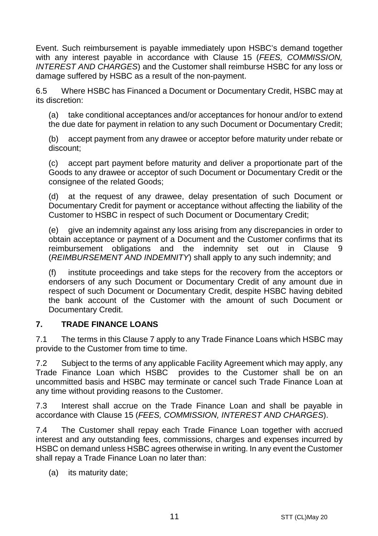Event. Such reimbursement is payable immediately upon HSBC's demand together with any interest payable in accordance with Clause 15 (*FEES, COMMISSION, INTEREST AND CHARGES*) and the Customer shall reimburse HSBC for any loss or damage suffered by HSBC as a result of the non-payment.

6.5 Where HSBC has Financed a Document or Documentary Credit, HSBC may at its discretion:

(a) take conditional acceptances and/or acceptances for honour and/or to extend the due date for payment in relation to any such Document or Documentary Credit;

(b) accept payment from any drawee or acceptor before maturity under rebate or discount;

(c) accept part payment before maturity and deliver a proportionate part of the Goods to any drawee or acceptor of such Document or Documentary Credit or the consignee of the related Goods;

(d) at the request of any drawee, delay presentation of such Document or Documentary Credit for payment or acceptance without affecting the liability of the Customer to HSBC in respect of such Document or Documentary Credit;

(e) give an indemnity against any loss arising from any discrepancies in order to obtain acceptance or payment of a Document and the Customer confirms that its reimbursement obligations and the indemnity set out in Clause 9 (*REIMBURSEMENT AND INDEMNITY*) shall apply to any such indemnity; and

(f) institute proceedings and take steps for the recovery from the acceptors or endorsers of any such Document or Documentary Credit of any amount due in respect of such Document or Documentary Credit, despite HSBC having debited the bank account of the Customer with the amount of such Document or Documentary Credit.

### **7. TRADE FINANCE LOANS**

7.1 The terms in this Clause 7 apply to any Trade Finance Loans which HSBC may provide to the Customer from time to time.

7.2 Subject to the terms of any applicable Facility Agreement which may apply, any Trade Finance Loan which HSBC provides to the Customer shall be on an uncommitted basis and HSBC may terminate or cancel such Trade Finance Loan at any time without providing reasons to the Customer.

7.3 Interest shall accrue on the Trade Finance Loan and shall be payable in accordance with Clause 15 (*FEES, COMMISSION, INTEREST AND CHARGES*).

7.4 The Customer shall repay each Trade Finance Loan together with accrued interest and any outstanding fees, commissions, charges and expenses incurred by HSBC on demand unless HSBC agrees otherwise in writing. In any event the Customer shall repay a Trade Finance Loan no later than:

(a) its maturity date;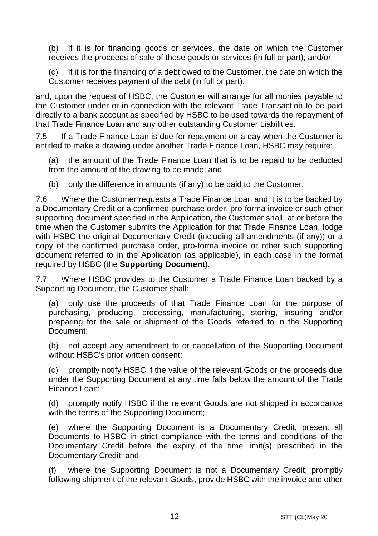(b) if it is for financing goods or services, the date on which the Customer receives the proceeds of sale of those goods or services (in full or part); and/or

(c) if it is for the financing of a debt owed to the Customer, the date on which the Customer receives payment of the debt (in full or part),

and, upon the request of HSBC, the Customer will arrange for all monies payable to the Customer under or in connection with the relevant Trade Transaction to be paid directly to a bank account as specified by HSBC to be used towards the repayment of that Trade Finance Loan and any other outstanding Customer Liabilities.

7.5 If a Trade Finance Loan is due for repayment on a day when the Customer is entitled to make a drawing under another Trade Finance Loan, HSBC may require:

(a) the amount of the Trade Finance Loan that is to be repaid to be deducted from the amount of the drawing to be made; and

(b) only the difference in amounts (if any) to be paid to the Customer.

7.6 Where the Customer requests a Trade Finance Loan and it is to be backed by a Documentary Credit or a confirmed purchase order, pro-forma invoice or such other supporting document specified in the Application, the Customer shall, at or before the time when the Customer submits the Application for that Trade Finance Loan, lodge with HSBC the original Documentary Credit (including all amendments (if any)) or a copy of the confirmed purchase order, pro-forma invoice or other such supporting document referred to in the Application (as applicable), in each case in the format required by HSBC (the **Supporting Document**).

7.7 Where HSBC provides to the Customer a Trade Finance Loan backed by a Supporting Document, the Customer shall:

(a) only use the proceeds of that Trade Finance Loan for the purpose of purchasing, producing, processing, manufacturing, storing, insuring and/or preparing for the sale or shipment of the Goods referred to in the Supporting Document;

(b) not accept any amendment to or cancellation of the Supporting Document without HSBC's prior written consent;

(c) promptly notify HSBC if the value of the relevant Goods or the proceeds due under the Supporting Document at any time falls below the amount of the Trade Finance Loan;

(d) promptly notify HSBC if the relevant Goods are not shipped in accordance with the terms of the Supporting Document;

(e) where the Supporting Document is a Documentary Credit, present all Documents to HSBC in strict compliance with the terms and conditions of the Documentary Credit before the expiry of the time limit(s) prescribed in the Documentary Credit; and

(f) where the Supporting Document is not a Documentary Credit, promptly following shipment of the relevant Goods, provide HSBC with the invoice and other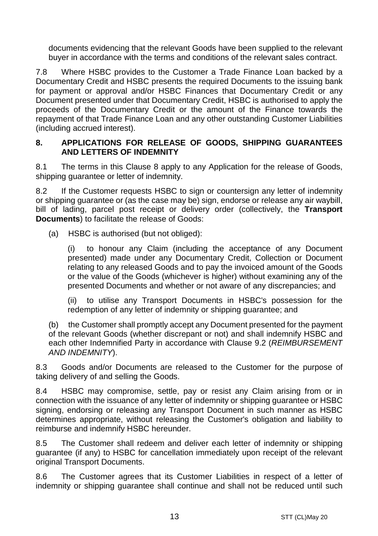documents evidencing that the relevant Goods have been supplied to the relevant buyer in accordance with the terms and conditions of the relevant sales contract.

7.8 Where HSBC provides to the Customer a Trade Finance Loan backed by a Documentary Credit and HSBC presents the required Documents to the issuing bank for payment or approval and/or HSBC Finances that Documentary Credit or any Document presented under that Documentary Credit, HSBC is authorised to apply the proceeds of the Documentary Credit or the amount of the Finance towards the repayment of that Trade Finance Loan and any other outstanding Customer Liabilities (including accrued interest).

#### **8. APPLICATIONS FOR RELEASE OF GOODS, SHIPPING GUARANTEES AND LETTERS OF INDEMNITY**

8.1 The terms in this Clause 8 apply to any Application for the release of Goods, shipping guarantee or letter of indemnity.

8.2 If the Customer requests HSBC to sign or countersign any letter of indemnity or shipping guarantee or (as the case may be) sign, endorse or release any air waybill, bill of lading, parcel post receipt or delivery order (collectively, the **Transport Documents**) to facilitate the release of Goods:

(a) HSBC is authorised (but not obliged):

(i) to honour any Claim (including the acceptance of any Document presented) made under any Documentary Credit, Collection or Document relating to any released Goods and to pay the invoiced amount of the Goods or the value of the Goods (whichever is higher) without examining any of the presented Documents and whether or not aware of any discrepancies; and

(ii) to utilise any Transport Documents in HSBC's possession for the redemption of any letter of indemnity or shipping guarantee; and

(b) the Customer shall promptly accept any Document presented for the payment of the relevant Goods (whether discrepant or not) and shall indemnify HSBC and each other Indemnified Party in accordance with Clause 9.2 (*REIMBURSEMENT AND INDEMNITY*).

8.3 Goods and/or Documents are released to the Customer for the purpose of taking delivery of and selling the Goods.

8.4 HSBC may compromise, settle, pay or resist any Claim arising from or in connection with the issuance of any letter of indemnity or shipping guarantee or HSBC signing, endorsing or releasing any Transport Document in such manner as HSBC determines appropriate, without releasing the Customer's obligation and liability to reimburse and indemnify HSBC hereunder.

8.5 The Customer shall redeem and deliver each letter of indemnity or shipping guarantee (if any) to HSBC for cancellation immediately upon receipt of the relevant original Transport Documents.

8.6 The Customer agrees that its Customer Liabilities in respect of a letter of indemnity or shipping guarantee shall continue and shall not be reduced until such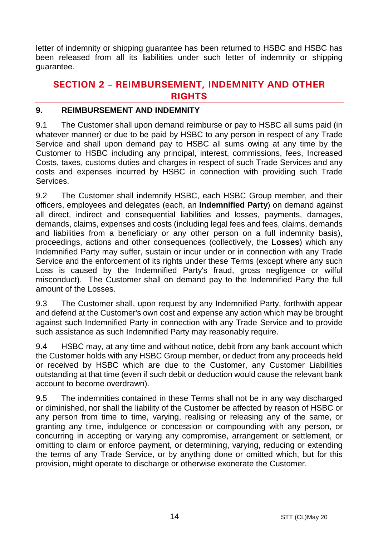letter of indemnity or shipping guarantee has been returned to HSBC and HSBC has been released from all its liabilities under such letter of indemnity or shipping guarantee.

## **SECTION 2 – REIMBURSEMENT, INDEMNITY AND OTHER RIGHTS**

#### **9. REIMBURSEMENT AND INDEMNITY**

9.1 The Customer shall upon demand reimburse or pay to HSBC all sums paid (in whatever manner) or due to be paid by HSBC to any person in respect of any Trade Service and shall upon demand pay to HSBC all sums owing at any time by the Customer to HSBC including any principal, interest, commissions, fees, Increased Costs, taxes, customs duties and charges in respect of such Trade Services and any costs and expenses incurred by HSBC in connection with providing such Trade **Services** 

9.2 The Customer shall indemnify HSBC, each HSBC Group member, and their officers, employees and delegates (each, an **Indemnified Party**) on demand against all direct, indirect and consequential liabilities and losses, payments, damages, demands, claims, expenses and costs (including legal fees and fees, claims, demands and liabilities from a beneficiary or any other person on a full indemnity basis), proceedings, actions and other consequences (collectively, the **Losses**) which any Indemnified Party may suffer, sustain or incur under or in connection with any Trade Service and the enforcement of its rights under these Terms (except where any such Loss is caused by the Indemnified Party's fraud, gross negligence or wilful misconduct). The Customer shall on demand pay to the Indemnified Party the full amount of the Losses.

9.3 The Customer shall, upon request by any Indemnified Party, forthwith appear and defend at the Customer's own cost and expense any action which may be brought against such Indemnified Party in connection with any Trade Service and to provide such assistance as such Indemnified Party may reasonably require.

9.4 HSBC may, at any time and without notice, debit from any bank account which the Customer holds with any HSBC Group member, or deduct from any proceeds held or received by HSBC which are due to the Customer, any Customer Liabilities outstanding at that time (even if such debit or deduction would cause the relevant bank account to become overdrawn).

9.5 The indemnities contained in these Terms shall not be in any way discharged or diminished, nor shall the liability of the Customer be affected by reason of HSBC or any person from time to time, varying, realising or releasing any of the same, or granting any time, indulgence or concession or compounding with any person, or concurring in accepting or varying any compromise, arrangement or settlement, or omitting to claim or enforce payment, or determining, varying, reducing or extending the terms of any Trade Service, or by anything done or omitted which, but for this provision, might operate to discharge or otherwise exonerate the Customer.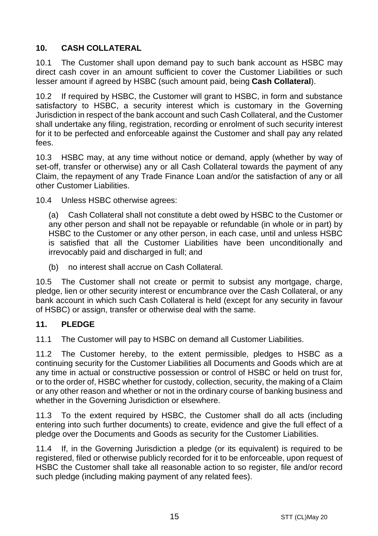# **10. CASH COLLATERAL**

10.1 The Customer shall upon demand pay to such bank account as HSBC may direct cash cover in an amount sufficient to cover the Customer Liabilities or such lesser amount if agreed by HSBC (such amount paid, being **Cash Collateral**).

10.2 If required by HSBC, the Customer will grant to HSBC, in form and substance satisfactory to HSBC, a security interest which is customary in the Governing Jurisdiction in respect of the bank account and such Cash Collateral, and the Customer shall undertake any filing, registration, recording or enrolment of such security interest for it to be perfected and enforceable against the Customer and shall pay any related fees.

10.3 HSBC may, at any time without notice or demand, apply (whether by way of set-off, transfer or otherwise) any or all Cash Collateral towards the payment of any Claim, the repayment of any Trade Finance Loan and/or the satisfaction of any or all other Customer Liabilities.

10.4 Unless HSBC otherwise agrees:

(a) Cash Collateral shall not constitute a debt owed by HSBC to the Customer or any other person and shall not be repayable or refundable (in whole or in part) by HSBC to the Customer or any other person, in each case, until and unless HSBC is satisfied that all the Customer Liabilities have been unconditionally and irrevocably paid and discharged in full; and

(b) no interest shall accrue on Cash Collateral.

10.5 The Customer shall not create or permit to subsist any mortgage, charge, pledge, lien or other security interest or encumbrance over the Cash Collateral, or any bank account in which such Cash Collateral is held (except for any security in favour of HSBC) or assign, transfer or otherwise deal with the same.

### **11. PLEDGE**

11.1 The Customer will pay to HSBC on demand all Customer Liabilities.

11.2 The Customer hereby, to the extent permissible, pledges to HSBC as a continuing security for the Customer Liabilities all Documents and Goods which are at any time in actual or constructive possession or control of HSBC or held on trust for, or to the order of, HSBC whether for custody, collection, security, the making of a Claim or any other reason and whether or not in the ordinary course of banking business and whether in the Governing Jurisdiction or elsewhere.

11.3 To the extent required by HSBC, the Customer shall do all acts (including entering into such further documents) to create, evidence and give the full effect of a pledge over the Documents and Goods as security for the Customer Liabilities.

11.4 If, in the Governing Jurisdiction a pledge (or its equivalent) is required to be registered, filed or otherwise publicly recorded for it to be enforceable, upon request of HSBC the Customer shall take all reasonable action to so register, file and/or record such pledge (including making payment of any related fees).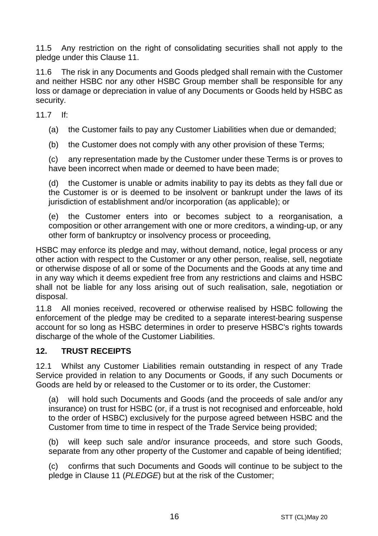11.5 Any restriction on the right of consolidating securities shall not apply to the pledge under this Clause 11.

11.6 The risk in any Documents and Goods pledged shall remain with the Customer and neither HSBC nor any other HSBC Group member shall be responsible for any loss or damage or depreciation in value of any Documents or Goods held by HSBC as security.

11.7 If:

(a) the Customer fails to pay any Customer Liabilities when due or demanded;

(b) the Customer does not comply with any other provision of these Terms;

(c) any representation made by the Customer under these Terms is or proves to have been incorrect when made or deemed to have been made;

(d) the Customer is unable or admits inability to pay its debts as they fall due or the Customer is or is deemed to be insolvent or bankrupt under the laws of its jurisdiction of establishment and/or incorporation (as applicable); or

(e) the Customer enters into or becomes subject to a reorganisation, a composition or other arrangement with one or more creditors, a winding-up, or any other form of bankruptcy or insolvency process or proceeding,

HSBC may enforce its pledge and may, without demand, notice, legal process or any other action with respect to the Customer or any other person, realise, sell, negotiate or otherwise dispose of all or some of the Documents and the Goods at any time and in any way which it deems expedient free from any restrictions and claims and HSBC shall not be liable for any loss arising out of such realisation, sale, negotiation or disposal.

11.8 All monies received, recovered or otherwise realised by HSBC following the enforcement of the pledge may be credited to a separate interest-bearing suspense account for so long as HSBC determines in order to preserve HSBC's rights towards discharge of the whole of the Customer Liabilities.

### **12. TRUST RECEIPTS**

12.1 Whilst any Customer Liabilities remain outstanding in respect of any Trade Service provided in relation to any Documents or Goods, if any such Documents or Goods are held by or released to the Customer or to its order, the Customer:

(a) will hold such Documents and Goods (and the proceeds of sale and/or any insurance) on trust for HSBC (or, if a trust is not recognised and enforceable, hold to the order of HSBC) exclusively for the purpose agreed between HSBC and the Customer from time to time in respect of the Trade Service being provided;

(b) will keep such sale and/or insurance proceeds, and store such Goods, separate from any other property of the Customer and capable of being identified;

(c) confirms that such Documents and Goods will continue to be subject to the pledge in Clause 11 (*PLEDGE*) but at the risk of the Customer;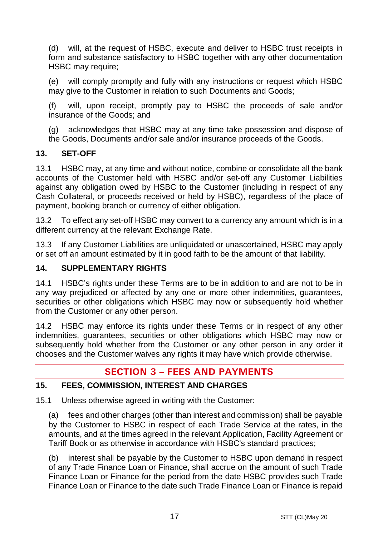(d) will, at the request of HSBC, execute and deliver to HSBC trust receipts in form and substance satisfactory to HSBC together with any other documentation HSBC may require;

(e) will comply promptly and fully with any instructions or request which HSBC may give to the Customer in relation to such Documents and Goods;

(f) will, upon receipt, promptly pay to HSBC the proceeds of sale and/or insurance of the Goods; and

(g) acknowledges that HSBC may at any time take possession and dispose of the Goods, Documents and/or sale and/or insurance proceeds of the Goods.

### **13. SET-OFF**

13.1 HSBC may, at any time and without notice, combine or consolidate all the bank accounts of the Customer held with HSBC and/or set-off any Customer Liabilities against any obligation owed by HSBC to the Customer (including in respect of any Cash Collateral, or proceeds received or held by HSBC), regardless of the place of payment, booking branch or currency of either obligation.

13.2 To effect any set-off HSBC may convert to a currency any amount which is in a different currency at the relevant Exchange Rate.

13.3 If any Customer Liabilities are unliquidated or unascertained, HSBC may apply or set off an amount estimated by it in good faith to be the amount of that liability.

## **14. SUPPLEMENTARY RIGHTS**

14.1 HSBC's rights under these Terms are to be in addition to and are not to be in any way prejudiced or affected by any one or more other indemnities, guarantees, securities or other obligations which HSBC may now or subsequently hold whether from the Customer or any other person.

14.2 HSBC may enforce its rights under these Terms or in respect of any other indemnities, guarantees, securities or other obligations which HSBC may now or subsequently hold whether from the Customer or any other person in any order it chooses and the Customer waives any rights it may have which provide otherwise.

# **SECTION 3 – FEES AND PAYMENTS**

### **15. FEES, COMMISSION, INTEREST AND CHARGES**

15.1 Unless otherwise agreed in writing with the Customer:

(a) fees and other charges (other than interest and commission) shall be payable by the Customer to HSBC in respect of each Trade Service at the rates, in the amounts, and at the times agreed in the relevant Application, Facility Agreement or Tariff Book or as otherwise in accordance with HSBC's standard practices;

(b) interest shall be payable by the Customer to HSBC upon demand in respect of any Trade Finance Loan or Finance, shall accrue on the amount of such Trade Finance Loan or Finance for the period from the date HSBC provides such Trade Finance Loan or Finance to the date such Trade Finance Loan or Finance is repaid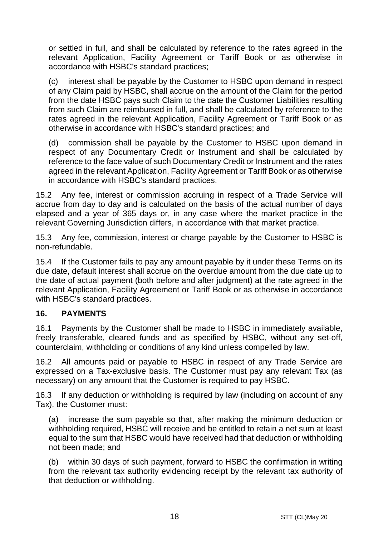or settled in full, and shall be calculated by reference to the rates agreed in the relevant Application, Facility Agreement or Tariff Book or as otherwise in accordance with HSBC's standard practices;

interest shall be payable by the Customer to HSBC upon demand in respect of any Claim paid by HSBC, shall accrue on the amount of the Claim for the period from the date HSBC pays such Claim to the date the Customer Liabilities resulting from such Claim are reimbursed in full, and shall be calculated by reference to the rates agreed in the relevant Application, Facility Agreement or Tariff Book or as otherwise in accordance with HSBC's standard practices; and

(d) commission shall be payable by the Customer to HSBC upon demand in respect of any Documentary Credit or Instrument and shall be calculated by reference to the face value of such Documentary Credit or Instrument and the rates agreed in the relevant Application, Facility Agreement or Tariff Book or as otherwise in accordance with HSBC's standard practices.

15.2 Any fee, interest or commission accruing in respect of a Trade Service will accrue from day to day and is calculated on the basis of the actual number of days elapsed and a year of 365 days or, in any case where the market practice in the relevant Governing Jurisdiction differs, in accordance with that market practice.

15.3 Any fee, commission, interest or charge payable by the Customer to HSBC is non-refundable.

15.4 If the Customer fails to pay any amount payable by it under these Terms on its due date, default interest shall accrue on the overdue amount from the due date up to the date of actual payment (both before and after judgment) at the rate agreed in the relevant Application, Facility Agreement or Tariff Book or as otherwise in accordance with HSBC's standard practices.

### **16. PAYMENTS**

16.1 Payments by the Customer shall be made to HSBC in immediately available, freely transferable, cleared funds and as specified by HSBC, without any set-off, counterclaim, withholding or conditions of any kind unless compelled by law.

16.2 All amounts paid or payable to HSBC in respect of any Trade Service are expressed on a Tax-exclusive basis. The Customer must pay any relevant Tax (as necessary) on any amount that the Customer is required to pay HSBC.

16.3 If any deduction or withholding is required by law (including on account of any Tax), the Customer must:

(a) increase the sum payable so that, after making the minimum deduction or withholding required, HSBC will receive and be entitled to retain a net sum at least equal to the sum that HSBC would have received had that deduction or withholding not been made; and

(b) within 30 days of such payment, forward to HSBC the confirmation in writing from the relevant tax authority evidencing receipt by the relevant tax authority of that deduction or withholding.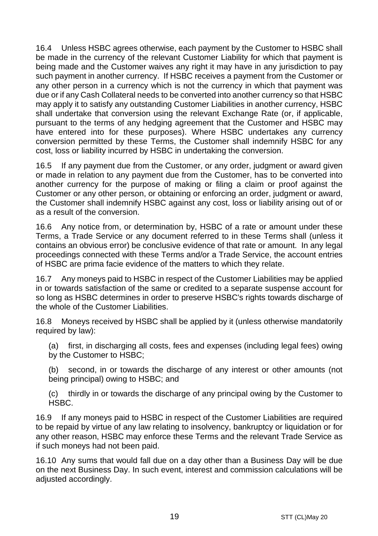16.4 Unless HSBC agrees otherwise, each payment by the Customer to HSBC shall be made in the currency of the relevant Customer Liability for which that payment is being made and the Customer waives any right it may have in any jurisdiction to pay such payment in another currency. If HSBC receives a payment from the Customer or any other person in a currency which is not the currency in which that payment was due or if any Cash Collateral needs to be converted into another currency so that HSBC may apply it to satisfy any outstanding Customer Liabilities in another currency, HSBC shall undertake that conversion using the relevant Exchange Rate (or, if applicable, pursuant to the terms of any hedging agreement that the Customer and HSBC may have entered into for these purposes). Where HSBC undertakes any currency conversion permitted by these Terms, the Customer shall indemnify HSBC for any cost, loss or liability incurred by HSBC in undertaking the conversion.

16.5 If any payment due from the Customer, or any order, judgment or award given or made in relation to any payment due from the Customer, has to be converted into another currency for the purpose of making or filing a claim or proof against the Customer or any other person, or obtaining or enforcing an order, judgment or award, the Customer shall indemnify HSBC against any cost, loss or liability arising out of or as a result of the conversion.

16.6 Any notice from, or determination by, HSBC of a rate or amount under these Terms, a Trade Service or any document referred to in these Terms shall (unless it contains an obvious error) be conclusive evidence of that rate or amount. In any legal proceedings connected with these Terms and/or a Trade Service, the account entries of HSBC are prima facie evidence of the matters to which they relate.

16.7 Any moneys paid to HSBC in respect of the Customer Liabilities may be applied in or towards satisfaction of the same or credited to a separate suspense account for so long as HSBC determines in order to preserve HSBC's rights towards discharge of the whole of the Customer Liabilities.

16.8 Moneys received by HSBC shall be applied by it (unless otherwise mandatorily required by law):

(a) first, in discharging all costs, fees and expenses (including legal fees) owing by the Customer to HSBC;

(b) second, in or towards the discharge of any interest or other amounts (not being principal) owing to HSBC; and

(c) thirdly in or towards the discharge of any principal owing by the Customer to HSBC.

16.9 If any moneys paid to HSBC in respect of the Customer Liabilities are required to be repaid by virtue of any law relating to insolvency, bankruptcy or liquidation or for any other reason, HSBC may enforce these Terms and the relevant Trade Service as if such moneys had not been paid.

16.10 Any sums that would fall due on a day other than a Business Day will be due on the next Business Day. In such event, interest and commission calculations will be adjusted accordingly.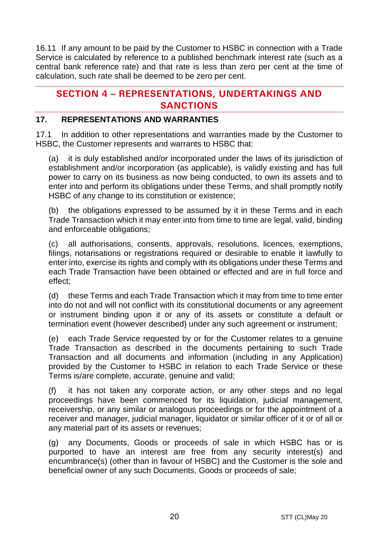16.11 If any amount to be paid by the Customer to HSBC in connection with a Trade Service is calculated by reference to a published benchmark interest rate (such as a central bank reference rate) and that rate is less than zero per cent at the time of calculation, such rate shall be deemed to be zero per cent.

# **SECTION 4 – REPRESENTATIONS, UNDERTAKINGS AND SANCTIONS**

## **17. REPRESENTATIONS AND WARRANTIES**

17.1 In addition to other representations and warranties made by the Customer to HSBC, the Customer represents and warrants to HSBC that:

(a) it is duly established and/or incorporated under the laws of its jurisdiction of establishment and/or incorporation (as applicable), is validly existing and has full power to carry on its business as now being conducted, to own its assets and to enter into and perform its obligations under these Terms, and shall promptly notify HSBC of any change to its constitution or existence;

(b) the obligations expressed to be assumed by it in these Terms and in each Trade Transaction which it may enter into from time to time are legal, valid, binding and enforceable obligations;

(c) all authorisations, consents, approvals, resolutions, licences, exemptions, filings, notarisations or registrations required or desirable to enable it lawfully to enter into, exercise its rights and comply with its obligations under these Terms and each Trade Transaction have been obtained or effected and are in full force and effect;

(d) these Terms and each Trade Transaction which it may from time to time enter into do not and will not conflict with its constitutional documents or any agreement or instrument binding upon it or any of its assets or constitute a default or termination event (however described) under any such agreement or instrument;

(e) each Trade Service requested by or for the Customer relates to a genuine Trade Transaction as described in the documents pertaining to such Trade Transaction and all documents and information (including in any Application) provided by the Customer to HSBC in relation to each Trade Service or these Terms is/are complete, accurate, genuine and valid;

(f) it has not taken any corporate action, or any other steps and no legal proceedings have been commenced for its liquidation, judicial management, receivership, or any similar or analogous proceedings or for the appointment of a receiver and manager, judicial manager, liquidator or similar officer of it or of all or any material part of its assets or revenues;

(g) any Documents, Goods or proceeds of sale in which HSBC has or is purported to have an interest are free from any security interest(s) and encumbrance(s) (other than in favour of HSBC) and the Customer is the sole and beneficial owner of any such Documents, Goods or proceeds of sale;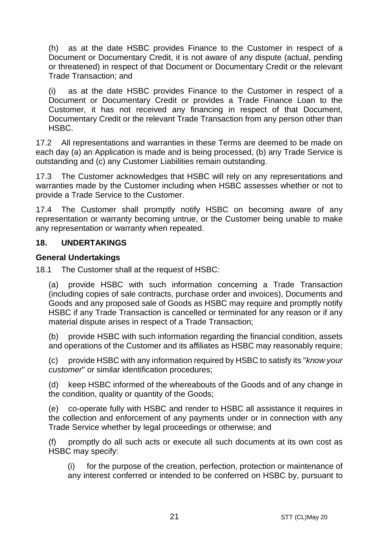(h) as at the date HSBC provides Finance to the Customer in respect of a Document or Documentary Credit, it is not aware of any dispute (actual, pending or threatened) in respect of that Document or Documentary Credit or the relevant Trade Transaction; and

(i) as at the date HSBC provides Finance to the Customer in respect of a Document or Documentary Credit or provides a Trade Finance Loan to the Customer, it has not received any financing in respect of that Document, Documentary Credit or the relevant Trade Transaction from any person other than HSBC.

17.2 All representations and warranties in these Terms are deemed to be made on each day (a) an Application is made and is being processed, (b) any Trade Service is outstanding and (c) any Customer Liabilities remain outstanding.

17.3 The Customer acknowledges that HSBC will rely on any representations and warranties made by the Customer including when HSBC assesses whether or not to provide a Trade Service to the Customer.

17.4 The Customer shall promptly notify HSBC on becoming aware of any representation or warranty becoming untrue, or the Customer being unable to make any representation or warranty when repeated.

#### **18. UNDERTAKINGS**

#### **General Undertakings**

18.1 The Customer shall at the request of HSBC:

(a) provide HSBC with such information concerning a Trade Transaction (including copies of sale contracts, purchase order and invoices), Documents and Goods and any proposed sale of Goods as HSBC may require and promptly notify HSBC if any Trade Transaction is cancelled or terminated for any reason or if any material dispute arises in respect of a Trade Transaction;

(b) provide HSBC with such information regarding the financial condition, assets and operations of the Customer and its affiliates as HSBC may reasonably require;

(c) provide HSBC with any information required by HSBC to satisfy its "*know your customer*" or similar identification procedures;

(d) keep HSBC informed of the whereabouts of the Goods and of any change in the condition, quality or quantity of the Goods;

(e) co-operate fully with HSBC and render to HSBC all assistance it requires in the collection and enforcement of any payments under or in connection with any Trade Service whether by legal proceedings or otherwise; and

(f) promptly do all such acts or execute all such documents at its own cost as HSBC may specify:

(i) for the purpose of the creation, perfection, protection or maintenance of any interest conferred or intended to be conferred on HSBC by, pursuant to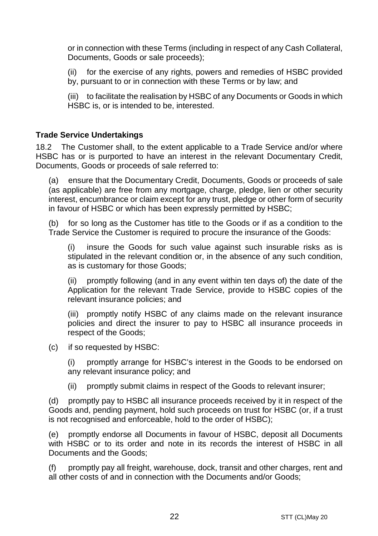or in connection with these Terms (including in respect of any Cash Collateral, Documents, Goods or sale proceeds);

(ii) for the exercise of any rights, powers and remedies of HSBC provided by, pursuant to or in connection with these Terms or by law; and

(iii) to facilitate the realisation by HSBC of any Documents or Goods in which HSBC is, or is intended to be, interested.

#### **Trade Service Undertakings**

18.2 The Customer shall, to the extent applicable to a Trade Service and/or where HSBC has or is purported to have an interest in the relevant Documentary Credit, Documents, Goods or proceeds of sale referred to:

(a) ensure that the Documentary Credit, Documents, Goods or proceeds of sale (as applicable) are free from any mortgage, charge, pledge, lien or other security interest, encumbrance or claim except for any trust, pledge or other form of security in favour of HSBC or which has been expressly permitted by HSBC;

(b) for so long as the Customer has title to the Goods or if as a condition to the Trade Service the Customer is required to procure the insurance of the Goods:

(i) insure the Goods for such value against such insurable risks as is stipulated in the relevant condition or, in the absence of any such condition, as is customary for those Goods;

(ii) promptly following (and in any event within ten days of) the date of the Application for the relevant Trade Service, provide to HSBC copies of the relevant insurance policies; and

(iii) promptly notify HSBC of any claims made on the relevant insurance policies and direct the insurer to pay to HSBC all insurance proceeds in respect of the Goods;

(c) if so requested by HSBC:

(i) promptly arrange for HSBC's interest in the Goods to be endorsed on any relevant insurance policy; and

(ii) promptly submit claims in respect of the Goods to relevant insurer;

(d) promptly pay to HSBC all insurance proceeds received by it in respect of the Goods and, pending payment, hold such proceeds on trust for HSBC (or, if a trust is not recognised and enforceable, hold to the order of HSBC);

(e) promptly endorse all Documents in favour of HSBC, deposit all Documents with HSBC or to its order and note in its records the interest of HSBC in all Documents and the Goods;

promptly pay all freight, warehouse, dock, transit and other charges, rent and all other costs of and in connection with the Documents and/or Goods;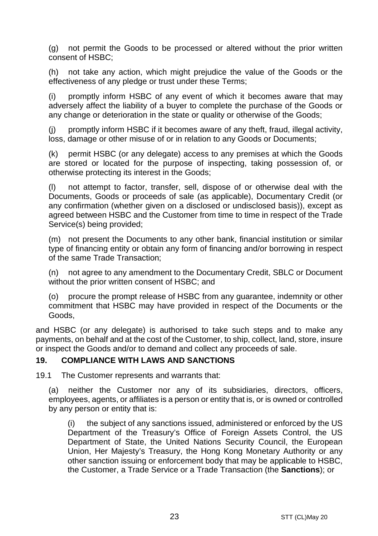(g) not permit the Goods to be processed or altered without the prior written consent of HSBC;

(h) not take any action, which might prejudice the value of the Goods or the effectiveness of any pledge or trust under these Terms;

(i) promptly inform HSBC of any event of which it becomes aware that may adversely affect the liability of a buyer to complete the purchase of the Goods or any change or deterioration in the state or quality or otherwise of the Goods;

(j) promptly inform HSBC if it becomes aware of any theft, fraud, illegal activity, loss, damage or other misuse of or in relation to any Goods or Documents;

(k) permit HSBC (or any delegate) access to any premises at which the Goods are stored or located for the purpose of inspecting, taking possession of, or otherwise protecting its interest in the Goods;

(l) not attempt to factor, transfer, sell, dispose of or otherwise deal with the Documents, Goods or proceeds of sale (as applicable), Documentary Credit (or any confirmation (whether given on a disclosed or undisclosed basis)), except as agreed between HSBC and the Customer from time to time in respect of the Trade Service(s) being provided;

(m) not present the Documents to any other bank, financial institution or similar type of financing entity or obtain any form of financing and/or borrowing in respect of the same Trade Transaction;

(n) not agree to any amendment to the Documentary Credit, SBLC or Document without the prior written consent of HSBC; and

(o) procure the prompt release of HSBC from any guarantee, indemnity or other commitment that HSBC may have provided in respect of the Documents or the Goods,

and HSBC (or any delegate) is authorised to take such steps and to make any payments, on behalf and at the cost of the Customer, to ship, collect, land, store, insure or inspect the Goods and/or to demand and collect any proceeds of sale.

#### **19. COMPLIANCE WITH LAWS AND SANCTIONS**

19.1 The Customer represents and warrants that:

(a) neither the Customer nor any of its subsidiaries, directors, officers, employees, agents, or affiliates is a person or entity that is, or is owned or controlled by any person or entity that is:

the subject of any sanctions issued, administered or enforced by the US Department of the Treasury's Office of Foreign Assets Control, the US Department of State, the United Nations Security Council, the European Union, Her Majesty's Treasury, the Hong Kong Monetary Authority or any other sanction issuing or enforcement body that may be applicable to HSBC, the Customer, a Trade Service or a Trade Transaction (the **Sanctions**); or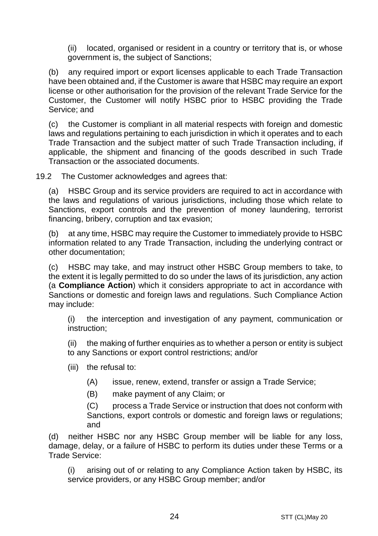(ii) located, organised or resident in a country or territory that is, or whose government is, the subject of Sanctions;

(b) any required import or export licenses applicable to each Trade Transaction have been obtained and, if the Customer is aware that HSBC may require an export license or other authorisation for the provision of the relevant Trade Service for the Customer, the Customer will notify HSBC prior to HSBC providing the Trade Service; and

(c) the Customer is compliant in all material respects with foreign and domestic laws and regulations pertaining to each jurisdiction in which it operates and to each Trade Transaction and the subject matter of such Trade Transaction including, if applicable, the shipment and financing of the goods described in such Trade Transaction or the associated documents.

19.2 The Customer acknowledges and agrees that:

(a) HSBC Group and its service providers are required to act in accordance with the laws and regulations of various jurisdictions, including those which relate to Sanctions, export controls and the prevention of money laundering, terrorist financing, bribery, corruption and tax evasion;

(b) at any time, HSBC may require the Customer to immediately provide to HSBC information related to any Trade Transaction, including the underlying contract or other documentation;

(c) HSBC may take, and may instruct other HSBC Group members to take, to the extent it is legally permitted to do so under the laws of its jurisdiction, any action (a **Compliance Action**) which it considers appropriate to act in accordance with Sanctions or domestic and foreign laws and regulations. Such Compliance Action may include:

(i) the interception and investigation of any payment, communication or instruction;

(ii) the making of further enquiries as to whether a person or entity is subject to any Sanctions or export control restrictions; and/or

- (iii) the refusal to:
	- (A) issue, renew, extend, transfer or assign a Trade Service;
	- (B) make payment of any Claim; or

(C) process a Trade Service or instruction that does not conform with Sanctions, export controls or domestic and foreign laws or regulations; and

(d) neither HSBC nor any HSBC Group member will be liable for any loss, damage, delay, or a failure of HSBC to perform its duties under these Terms or a Trade Service:

(i) arising out of or relating to any Compliance Action taken by HSBC, its service providers, or any HSBC Group member; and/or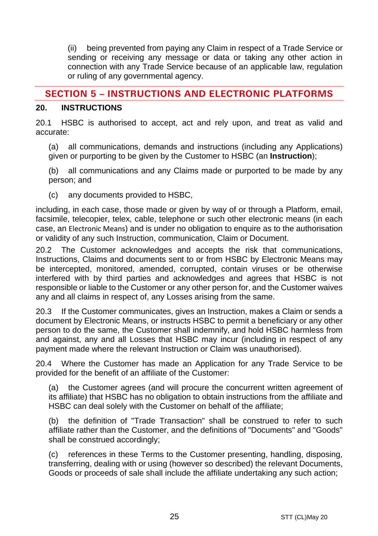(ii) being prevented from paying any Claim in respect of a Trade Service or sending or receiving any message or data or taking any other action in connection with any Trade Service because of an applicable law, regulation or ruling of any governmental agency.

## **SECTION 5 – INSTRUCTIONS AND ELECTRONIC PLATFORMS**

#### **20. INSTRUCTIONS**

20.1 HSBC is authorised to accept, act and rely upon, and treat as valid and accurate:

(a) all communications, demands and instructions (including any Applications) given or purporting to be given by the Customer to HSBC (an **Instruction**);

(b) all communications and any Claims made or purported to be made by any person; and

(c) any documents provided to HSBC,

including, in each case, those made or given by way of or through a Platform, email, facsimile, telecopier, telex, cable, telephone or such other electronic means (in each case, an Electronic Means) and is under no obligation to enquire as to the authorisation or validity of any such Instruction, communication, Claim or Document.

20.2 The Customer acknowledges and accepts the risk that communications, Instructions, Claims and documents sent to or from HSBC by Electronic Means may be intercepted, monitored, amended, corrupted, contain viruses or be otherwise interfered with by third parties and acknowledges and agrees that HSBC is not responsible or liable to the Customer or any other person for, and the Customer waives any and all claims in respect of, any Losses arising from the same.

20.3 If the Customer communicates, gives an Instruction, makes a Claim or sends a document by Electronic Means, or instructs HSBC to permit a beneficiary or any other person to do the same, the Customer shall indemnify, and hold HSBC harmless from and against, any and all Losses that HSBC may incur (including in respect of any payment made where the relevant Instruction or Claim was unauthorised).

20.4 Where the Customer has made an Application for any Trade Service to be provided for the benefit of an affiliate of the Customer:

(a) the Customer agrees (and will procure the concurrent written agreement of its affiliate) that HSBC has no obligation to obtain instructions from the affiliate and HSBC can deal solely with the Customer on behalf of the affiliate;

(b) the definition of "Trade Transaction" shall be construed to refer to such affiliate rather than the Customer, and the definitions of "Documents" and "Goods" shall be construed accordingly;

(c) references in these Terms to the Customer presenting, handling, disposing, transferring, dealing with or using (however so described) the relevant Documents, Goods or proceeds of sale shall include the affiliate undertaking any such action;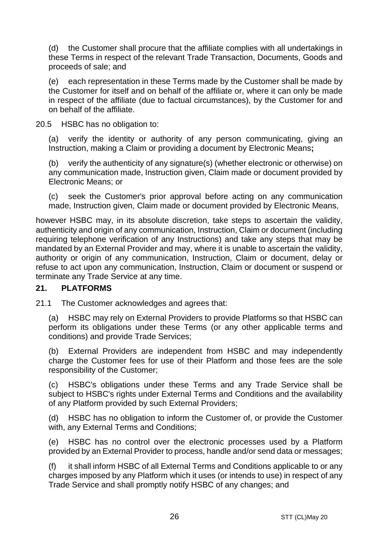(d) the Customer shall procure that the affiliate complies with all undertakings in these Terms in respect of the relevant Trade Transaction, Documents, Goods and proceeds of sale; and

(e) each representation in these Terms made by the Customer shall be made by the Customer for itself and on behalf of the affiliate or, where it can only be made in respect of the affiliate (due to factual circumstances), by the Customer for and on behalf of the affiliate.

20.5 HSBC has no obligation to:

(a) verify the identity or authority of any person communicating, giving an Instruction, making a Claim or providing a document by Electronic Means**;** 

(b) verify the authenticity of any signature(s) (whether electronic or otherwise) on any communication made, Instruction given, Claim made or document provided by Electronic Means; or

(c) seek the Customer's prior approval before acting on any communication made, Instruction given, Claim made or document provided by Electronic Means,

however HSBC may, in its absolute discretion, take steps to ascertain the validity, authenticity and origin of any communication, Instruction, Claim or document (including requiring telephone verification of any Instructions) and take any steps that may be mandated by an External Provider and may, where it is unable to ascertain the validity, authority or origin of any communication, Instruction, Claim or document, delay or refuse to act upon any communication, Instruction, Claim or document or suspend or terminate any Trade Service at any time.

### **21. PLATFORMS**

21.1 The Customer acknowledges and agrees that:

(a) HSBC may rely on External Providers to provide Platforms so that HSBC can perform its obligations under these Terms (or any other applicable terms and conditions) and provide Trade Services;

(b) External Providers are independent from HSBC and may independently charge the Customer fees for use of their Platform and those fees are the sole responsibility of the Customer;

(c) HSBC's obligations under these Terms and any Trade Service shall be subject to HSBC's rights under External Terms and Conditions and the availability of any Platform provided by such External Providers;

(d) HSBC has no obligation to inform the Customer of, or provide the Customer with, any External Terms and Conditions;

(e) HSBC has no control over the electronic processes used by a Platform provided by an External Provider to process, handle and/or send data or messages;

(f) it shall inform HSBC of all External Terms and Conditions applicable to or any charges imposed by any Platform which it uses (or intends to use) in respect of any Trade Service and shall promptly notify HSBC of any changes; and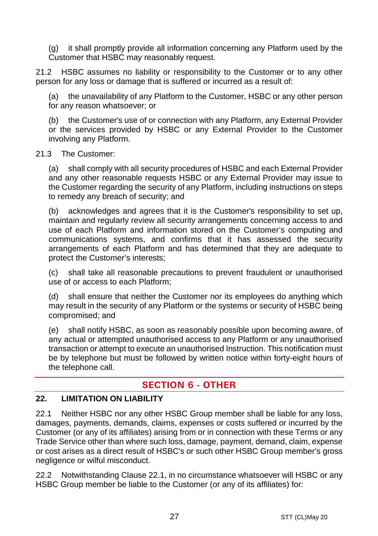(g) it shall promptly provide all information concerning any Platform used by the Customer that HSBC may reasonably request.

21.2 HSBC assumes no liability or responsibility to the Customer or to any other person for any loss or damage that is suffered or incurred as a result of:

(a) the unavailability of any Platform to the Customer, HSBC or any other person for any reason whatsoever; or

(b) the Customer's use of or connection with any Platform, any External Provider or the services provided by HSBC or any External Provider to the Customer involving any Platform.

#### 21.3 The Customer:

(a) shall comply with all security procedures of HSBC and each External Provider and any other reasonable requests HSBC or any External Provider may issue to the Customer regarding the security of any Platform, including instructions on steps to remedy any breach of security; and

(b) acknowledges and agrees that it is the Customer's responsibility to set up, maintain and regularly review all security arrangements concerning access to and use of each Platform and information stored on the Customer's computing and communications systems, and confirms that it has assessed the security arrangements of each Platform and has determined that they are adequate to protect the Customer's interests;

(c) shall take all reasonable precautions to prevent fraudulent or unauthorised use of or access to each Platform;

(d) shall ensure that neither the Customer nor its employees do anything which may result in the security of any Platform or the systems or security of HSBC being compromised; and

(e) shall notify HSBC, as soon as reasonably possible upon becoming aware, of any actual or attempted unauthorised access to any Platform or any unauthorised transaction or attempt to execute an unauthorised Instruction. This notification must be by telephone but must be followed by written notice within forty-eight hours of the telephone call.

## **SECTION 6 - OTHER**

#### **22. LIMITATION ON LIABILITY**

22.1 Neither HSBC nor any other HSBC Group member shall be liable for any loss, damages, payments, demands, claims, expenses or costs suffered or incurred by the Customer (or any of its affiliates) arising from or in connection with these Terms or any Trade Service other than where such loss, damage, payment, demand, claim, expense or cost arises as a direct result of HSBC's or such other HSBC Group member's gross negligence or wilful misconduct.

22.2 Notwithstanding Clause 22.1, in no circumstance whatsoever will HSBC or any HSBC Group member be liable to the Customer (or any of its affiliates) for: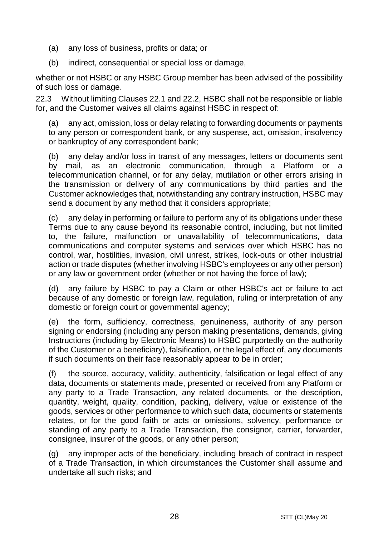- (a) any loss of business, profits or data; or
- (b) indirect, consequential or special loss or damage,

whether or not HSBC or any HSBC Group member has been advised of the possibility of such loss or damage.

22.3 Without limiting Clauses 22.1 and 22.2, HSBC shall not be responsible or liable for, and the Customer waives all claims against HSBC in respect of:

(a) any act, omission, loss or delay relating to forwarding documents or payments to any person or correspondent bank, or any suspense, act, omission, insolvency or bankruptcy of any correspondent bank;

(b) any delay and/or loss in transit of any messages, letters or documents sent by mail, as an electronic communication, through a Platform or a telecommunication channel, or for any delay, mutilation or other errors arising in the transmission or delivery of any communications by third parties and the Customer acknowledges that, notwithstanding any contrary instruction, HSBC may send a document by any method that it considers appropriate;

(c) any delay in performing or failure to perform any of its obligations under these Terms due to any cause beyond its reasonable control, including, but not limited to, the failure, malfunction or unavailability of telecommunications, data communications and computer systems and services over which HSBC has no control, war, hostilities, invasion, civil unrest, strikes, lock-outs or other industrial action or trade disputes (whether involving HSBC's employees or any other person) or any law or government order (whether or not having the force of law);

(d) any failure by HSBC to pay a Claim or other HSBC's act or failure to act because of any domestic or foreign law, regulation, ruling or interpretation of any domestic or foreign court or governmental agency;

(e) the form, sufficiency, correctness, genuineness, authority of any person signing or endorsing (including any person making presentations, demands, giving Instructions (including by Electronic Means) to HSBC purportedly on the authority of the Customer or a beneficiary), falsification, or the legal effect of, any documents if such documents on their face reasonably appear to be in order;

(f) the source, accuracy, validity, authenticity, falsification or legal effect of any data, documents or statements made, presented or received from any Platform or any party to a Trade Transaction, any related documents, or the description, quantity, weight, quality, condition, packing, delivery, value or existence of the goods, services or other performance to which such data, documents or statements relates, or for the good faith or acts or omissions, solvency, performance or standing of any party to a Trade Transaction, the consignor, carrier, forwarder, consignee, insurer of the goods, or any other person;

(g) any improper acts of the beneficiary, including breach of contract in respect of a Trade Transaction, in which circumstances the Customer shall assume and undertake all such risks; and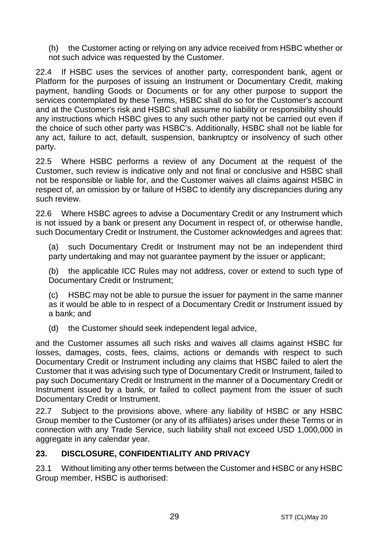(h) the Customer acting or relying on any advice received from HSBC whether or not such advice was requested by the Customer.

22.4 If HSBC uses the services of another party, correspondent bank, agent or Platform for the purposes of issuing an Instrument or Documentary Credit, making payment, handling Goods or Documents or for any other purpose to support the services contemplated by these Terms, HSBC shall do so for the Customer's account and at the Customer's risk and HSBC shall assume no liability or responsibility should any instructions which HSBC gives to any such other party not be carried out even if the choice of such other party was HSBC's. Additionally, HSBC shall not be liable for any act, failure to act, default, suspension, bankruptcy or insolvency of such other party.

22.5 Where HSBC performs a review of any Document at the request of the Customer, such review is indicative only and not final or conclusive and HSBC shall not be responsible or liable for, and the Customer waives all claims against HSBC in respect of, an omission by or failure of HSBC to identify any discrepancies during any such review.

22.6 Where HSBC agrees to advise a Documentary Credit or any Instrument which is not issued by a bank or present any Document in respect of, or otherwise handle, such Documentary Credit or Instrument, the Customer acknowledges and agrees that:

(a) such Documentary Credit or Instrument may not be an independent third party undertaking and may not guarantee payment by the issuer or applicant;

(b) the applicable ICC Rules may not address, cover or extend to such type of Documentary Credit or Instrument;

(c) HSBC may not be able to pursue the issuer for payment in the same manner as it would be able to in respect of a Documentary Credit or Instrument issued by a bank; and

(d) the Customer should seek independent legal advice,

and the Customer assumes all such risks and waives all claims against HSBC for losses, damages, costs, fees, claims, actions or demands with respect to such Documentary Credit or Instrument including any claims that HSBC failed to alert the Customer that it was advising such type of Documentary Credit or Instrument, failed to pay such Documentary Credit or Instrument in the manner of a Documentary Credit or Instrument issued by a bank, or failed to collect payment from the issuer of such Documentary Credit or Instrument.

22.7 Subject to the provisions above, where any liability of HSBC or any HSBC Group member to the Customer (or any of its affiliates) arises under these Terms or in connection with any Trade Service, such liability shall not exceed USD 1,000,000 in aggregate in any calendar year.

### **23. DISCLOSURE, CONFIDENTIALITY AND PRIVACY**

23.1 Without limiting any other terms between the Customer and HSBC or any HSBC Group member, HSBC is authorised: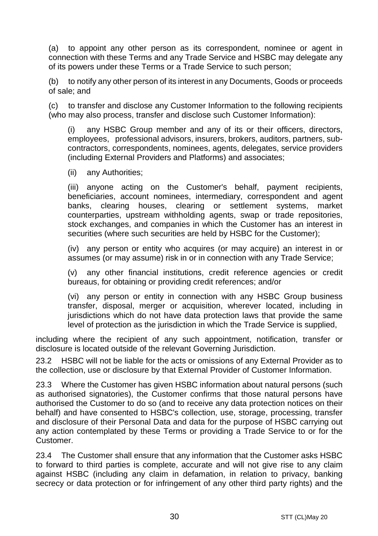(a) to appoint any other person as its correspondent, nominee or agent in connection with these Terms and any Trade Service and HSBC may delegate any of its powers under these Terms or a Trade Service to such person;

(b) to notify any other person of its interest in any Documents, Goods or proceeds of sale; and

(c) to transfer and disclose any Customer Information to the following recipients (who may also process, transfer and disclose such Customer Information):

(i) any HSBC Group member and any of its or their officers, directors, employees, professional advisors, insurers, brokers, auditors, partners, subcontractors, correspondents, nominees, agents, delegates, service providers (including External Providers and Platforms) and associates;

(ii) any Authorities;

(iii) anyone acting on the Customer's behalf, payment recipients, beneficiaries, account nominees, intermediary, correspondent and agent banks, clearing houses, clearing or settlement systems, market counterparties, upstream withholding agents, swap or trade repositories, stock exchanges, and companies in which the Customer has an interest in securities (where such securities are held by HSBC for the Customer);

(iv) any person or entity who acquires (or may acquire) an interest in or assumes (or may assume) risk in or in connection with any Trade Service;

(v) any other financial institutions, credit reference agencies or credit bureaus, for obtaining or providing credit references; and/or

(vi) any person or entity in connection with any HSBC Group business transfer, disposal, merger or acquisition, wherever located, including in jurisdictions which do not have data protection laws that provide the same level of protection as the jurisdiction in which the Trade Service is supplied,

including where the recipient of any such appointment, notification, transfer or disclosure is located outside of the relevant Governing Jurisdiction.

23.2 HSBC will not be liable for the acts or omissions of any External Provider as to the collection, use or disclosure by that External Provider of Customer Information.

23.3 Where the Customer has given HSBC information about natural persons (such as authorised signatories), the Customer confirms that those natural persons have authorised the Customer to do so (and to receive any data protection notices on their behalf) and have consented to HSBC's collection, use, storage, processing, transfer and disclosure of their Personal Data and data for the purpose of HSBC carrying out any action contemplated by these Terms or providing a Trade Service to or for the Customer.

23.4 The Customer shall ensure that any information that the Customer asks HSBC to forward to third parties is complete, accurate and will not give rise to any claim against HSBC (including any claim in defamation, in relation to privacy, banking secrecy or data protection or for infringement of any other third party rights) and the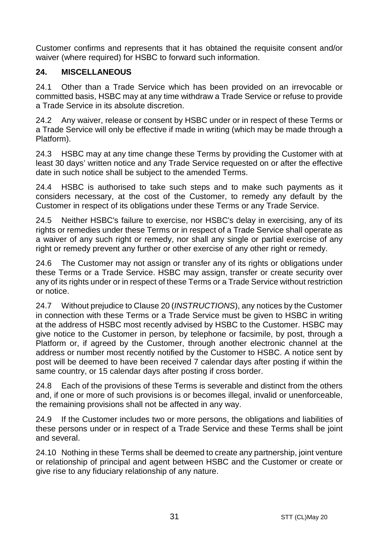Customer confirms and represents that it has obtained the requisite consent and/or waiver (where required) for HSBC to forward such information.

## **24. MISCELLANEOUS**

24.1 Other than a Trade Service which has been provided on an irrevocable or committed basis, HSBC may at any time withdraw a Trade Service or refuse to provide a Trade Service in its absolute discretion.

24.2 Any waiver, release or consent by HSBC under or in respect of these Terms or a Trade Service will only be effective if made in writing (which may be made through a Platform).

24.3 HSBC may at any time change these Terms by providing the Customer with at least 30 days' written notice and any Trade Service requested on or after the effective date in such notice shall be subject to the amended Terms.

24.4 HSBC is authorised to take such steps and to make such payments as it considers necessary, at the cost of the Customer, to remedy any default by the Customer in respect of its obligations under these Terms or any Trade Service.

24.5 Neither HSBC's failure to exercise, nor HSBC's delay in exercising, any of its rights or remedies under these Terms or in respect of a Trade Service shall operate as a waiver of any such right or remedy, nor shall any single or partial exercise of any right or remedy prevent any further or other exercise of any other right or remedy.

24.6 The Customer may not assign or transfer any of its rights or obligations under these Terms or a Trade Service. HSBC may assign, transfer or create security over any of its rights under or in respect of these Terms or a Trade Service without restriction or notice.

24.7 Without prejudice to Clause 20 (*INSTRUCTIONS*), any notices by the Customer in connection with these Terms or a Trade Service must be given to HSBC in writing at the address of HSBC most recently advised by HSBC to the Customer. HSBC may give notice to the Customer in person, by telephone or facsimile, by post, through a Platform or, if agreed by the Customer, through another electronic channel at the address or number most recently notified by the Customer to HSBC. A notice sent by post will be deemed to have been received 7 calendar days after posting if within the same country, or 15 calendar days after posting if cross border.

24.8 Each of the provisions of these Terms is severable and distinct from the others and, if one or more of such provisions is or becomes illegal, invalid or unenforceable, the remaining provisions shall not be affected in any way.

24.9 If the Customer includes two or more persons, the obligations and liabilities of these persons under or in respect of a Trade Service and these Terms shall be joint and several.

24.10 Nothing in these Terms shall be deemed to create any partnership, joint venture or relationship of principal and agent between HSBC and the Customer or create or give rise to any fiduciary relationship of any nature.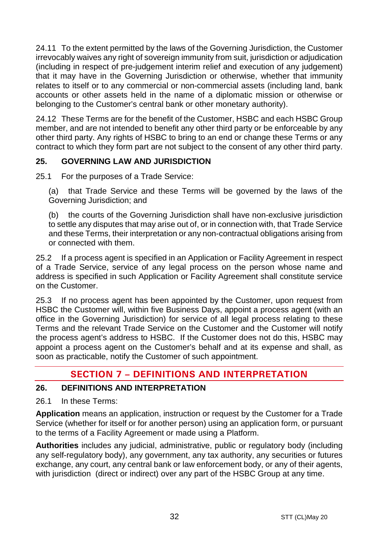24.11 To the extent permitted by the laws of the Governing Jurisdiction, the Customer irrevocably waives any right of sovereign immunity from suit, jurisdiction or adjudication (including in respect of pre-judgement interim relief and execution of any judgement) that it may have in the Governing Jurisdiction or otherwise, whether that immunity relates to itself or to any commercial or non-commercial assets (including land, bank accounts or other assets held in the name of a diplomatic mission or otherwise or belonging to the Customer's central bank or other monetary authority).

24.12 These Terms are for the benefit of the Customer, HSBC and each HSBC Group member, and are not intended to benefit any other third party or be enforceable by any other third party. Any rights of HSBC to bring to an end or change these Terms or any contract to which they form part are not subject to the consent of any other third party.

## **25. GOVERNING LAW AND JURISDICTION**

25.1 For the purposes of a Trade Service:

(a) that Trade Service and these Terms will be governed by the laws of the Governing Jurisdiction; and

(b) the courts of the Governing Jurisdiction shall have non-exclusive jurisdiction to settle any disputes that may arise out of, or in connection with, that Trade Service and these Terms, their interpretation or any non-contractual obligations arising from or connected with them.

25.2 If a process agent is specified in an Application or Facility Agreement in respect of a Trade Service, service of any legal process on the person whose name and address is specified in such Application or Facility Agreement shall constitute service on the Customer.

25.3 If no process agent has been appointed by the Customer, upon request from HSBC the Customer will, within five Business Days, appoint a process agent (with an office in the Governing Jurisdiction) for service of all legal process relating to these Terms and the relevant Trade Service on the Customer and the Customer will notify the process agent's address to HSBC. If the Customer does not do this, HSBC may appoint a process agent on the Customer's behalf and at its expense and shall, as soon as practicable, notify the Customer of such appointment.

# **SECTION 7 – DEFINITIONS AND INTERPRETATION**

### **26. DEFINITIONS AND INTERPRETATION**

26.1 In these Terms:

**Application** means an application, instruction or request by the Customer for a Trade Service (whether for itself or for another person) using an application form, or pursuant to the terms of a Facility Agreement or made using a Platform.

**Authorities** includes any judicial, administrative, public or regulatory body (including any self-regulatory body), any government, any tax authority, any securities or futures exchange, any court, any central bank or law enforcement body, or any of their agents, with jurisdiction (direct or indirect) over any part of the HSBC Group at any time.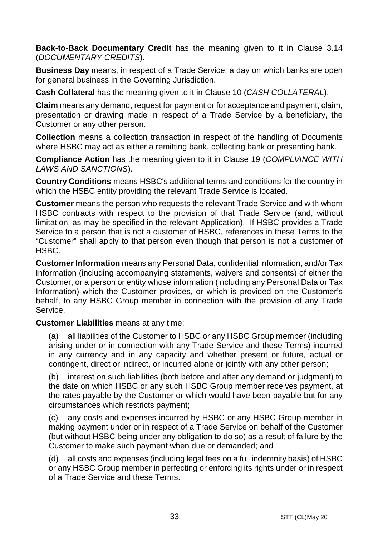**Back-to-Back Documentary Credit** has the meaning given to it in Clause 3.14 (*DOCUMENTARY CREDITS*).

**Business Day** means, in respect of a Trade Service, a day on which banks are open for general business in the Governing Jurisdiction.

**Cash Collateral** has the meaning given to it in Clause 10 (*CASH COLLATERAL*).

**Claim** means any demand, request for payment or for acceptance and payment, claim, presentation or drawing made in respect of a Trade Service by a beneficiary, the Customer or any other person.

**Collection** means a collection transaction in respect of the handling of Documents where HSBC may act as either a remitting bank, collecting bank or presenting bank.

**Compliance Action** has the meaning given to it in Clause 19 (*COMPLIANCE WITH LAWS AND SANCTIONS*).

**Country Conditions** means HSBC's additional terms and conditions for the country in which the HSBC entity providing the relevant Trade Service is located.

**Customer** means the person who requests the relevant Trade Service and with whom HSBC contracts with respect to the provision of that Trade Service (and, without limitation, as may be specified in the relevant Application). If HSBC provides a Trade Service to a person that is not a customer of HSBC, references in these Terms to the "Customer" shall apply to that person even though that person is not a customer of HSBC.

**Customer Information** means any Personal Data, confidential information, and/or Tax Information (including accompanying statements, waivers and consents) of either the Customer, or a person or entity whose information (including any Personal Data or Tax Information) which the Customer provides, or which is provided on the Customer's behalf, to any HSBC Group member in connection with the provision of any Trade Service.

**Customer Liabilities** means at any time:

(a) all liabilities of the Customer to HSBC or any HSBC Group member (including arising under or in connection with any Trade Service and these Terms) incurred in any currency and in any capacity and whether present or future, actual or contingent, direct or indirect, or incurred alone or jointly with any other person;

(b) interest on such liabilities (both before and after any demand or judgment) to the date on which HSBC or any such HSBC Group member receives payment, at the rates payable by the Customer or which would have been payable but for any circumstances which restricts payment;

(c) any costs and expenses incurred by HSBC or any HSBC Group member in making payment under or in respect of a Trade Service on behalf of the Customer (but without HSBC being under any obligation to do so) as a result of failure by the Customer to make such payment when due or demanded; and

(d) all costs and expenses (including legal fees on a full indemnity basis) of HSBC or any HSBC Group member in perfecting or enforcing its rights under or in respect of a Trade Service and these Terms.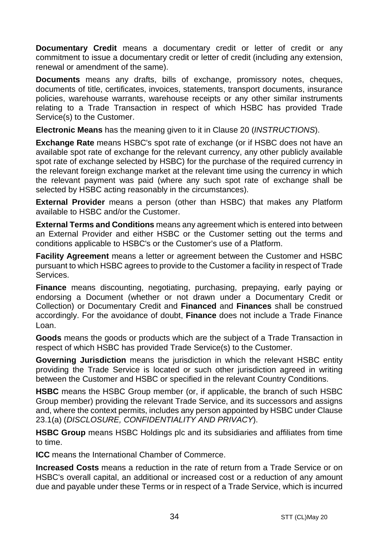**Documentary Credit** means a documentary credit or letter of credit or any commitment to issue a documentary credit or letter of credit (including any extension, renewal or amendment of the same).

**Documents** means any drafts, bills of exchange, promissory notes, cheques, documents of title, certificates, invoices, statements, transport documents, insurance policies, warehouse warrants, warehouse receipts or any other similar instruments relating to a Trade Transaction in respect of which HSBC has provided Trade Service(s) to the Customer.

**Electronic Means** has the meaning given to it in Clause 20 (*INSTRUCTIONS*).

**Exchange Rate** means HSBC's spot rate of exchange (or if HSBC does not have an available spot rate of exchange for the relevant currency, any other publicly available spot rate of exchange selected by HSBC) for the purchase of the required currency in the relevant foreign exchange market at the relevant time using the currency in which the relevant payment was paid (where any such spot rate of exchange shall be selected by HSBC acting reasonably in the circumstances).

**External Provider** means a person (other than HSBC) that makes any Platform available to HSBC and/or the Customer.

**External Terms and Conditions** means any agreement which is entered into between an External Provider and either HSBC or the Customer setting out the terms and conditions applicable to HSBC's or the Customer's use of a Platform.

**Facility Agreement** means a letter or agreement between the Customer and HSBC pursuant to which HSBC agrees to provide to the Customer a facility in respect of Trade Services.

**Finance** means discounting, negotiating, purchasing, prepaying, early paying or endorsing a Document (whether or not drawn under a Documentary Credit or Collection) or Documentary Credit and **Financed** and **Finances** shall be construed accordingly. For the avoidance of doubt, **Finance** does not include a Trade Finance Loan.

**Goods** means the goods or products which are the subject of a Trade Transaction in respect of which HSBC has provided Trade Service(s) to the Customer.

**Governing Jurisdiction** means the jurisdiction in which the relevant HSBC entity providing the Trade Service is located or such other jurisdiction agreed in writing between the Customer and HSBC or specified in the relevant Country Conditions.

**HSBC** means the HSBC Group member (or, if applicable, the branch of such HSBC Group member) providing the relevant Trade Service, and its successors and assigns and, where the context permits, includes any person appointed by HSBC under Clause 23.1(a) (*DISCLOSURE, CONFIDENTIALITY AND PRIVACY*).

**HSBC Group** means HSBC Holdings plc and its subsidiaries and affiliates from time to time.

**ICC** means the International Chamber of Commerce.

**Increased Costs** means a reduction in the rate of return from a Trade Service or on HSBC's overall capital, an additional or increased cost or a reduction of any amount due and payable under these Terms or in respect of a Trade Service, which is incurred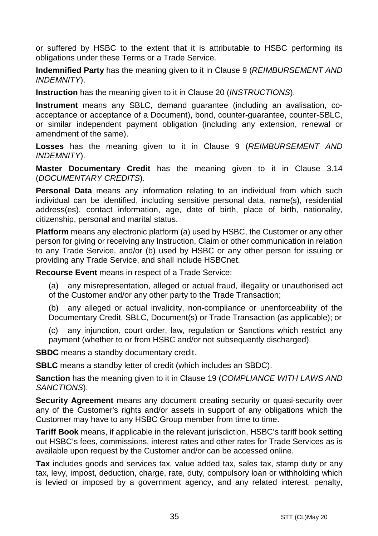or suffered by HSBC to the extent that it is attributable to HSBC performing its obligations under these Terms or a Trade Service.

**Indemnified Party** has the meaning given to it in Clause 9 (*REIMBURSEMENT AND INDEMNITY*).

**Instruction** has the meaning given to it in Clause 20 (*INSTRUCTIONS*).

**Instrument** means any SBLC, demand guarantee (including an avalisation, coacceptance or acceptance of a Document), bond, counter-guarantee, counter-SBLC, or similar independent payment obligation (including any extension, renewal or amendment of the same).

**Losses** has the meaning given to it in Clause 9 (*REIMBURSEMENT AND INDEMNITY*).

**Master Documentary Credit** has the meaning given to it in Clause 3.14 (*DOCUMENTARY CREDITS*).

**Personal Data** means any information relating to an individual from which such individual can be identified, including sensitive personal data, name(s), residential address(es), contact information, age, date of birth, place of birth, nationality, citizenship, personal and marital status.

**Platform** means any electronic platform (a) used by HSBC, the Customer or any other person for giving or receiving any Instruction, Claim or other communication in relation to any Trade Service, and/or (b) used by HSBC or any other person for issuing or providing any Trade Service, and shall include HSBCnet.

**Recourse Event** means in respect of a Trade Service:

(a) any misrepresentation, alleged or actual fraud, illegality or unauthorised act of the Customer and/or any other party to the Trade Transaction;

(b) any alleged or actual invalidity, non-compliance or unenforceability of the Documentary Credit, SBLC, Document(s) or Trade Transaction (as applicable); or

(c) any injunction, court order, law, regulation or Sanctions which restrict any payment (whether to or from HSBC and/or not subsequently discharged).

**SBDC** means a standby documentary credit.

**SBLC** means a standby letter of credit (which includes an SBDC).

**Sanction** has the meaning given to it in Clause 19 (*COMPLIANCE WITH LAWS AND SANCTIONS*).

**Security Agreement** means any document creating security or quasi-security over any of the Customer's rights and/or assets in support of any obligations which the Customer may have to any HSBC Group member from time to time.

**Tariff Book** means, if applicable in the relevant jurisdiction, HSBC's tariff book setting out HSBC's fees, commissions, interest rates and other rates for Trade Services as is available upon request by the Customer and/or can be accessed online.

**Tax** includes goods and services tax, value added tax, sales tax, stamp duty or any tax, levy, impost, deduction, charge, rate, duty, compulsory loan or withholding which is levied or imposed by a government agency, and any related interest, penalty,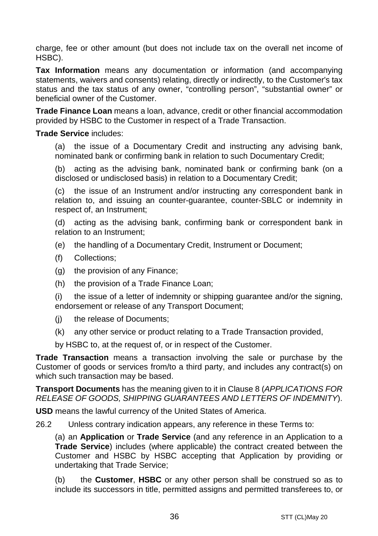charge, fee or other amount (but does not include tax on the overall net income of HSBC).

**Tax Information** means any documentation or information (and accompanying statements, waivers and consents) relating, directly or indirectly, to the Customer's tax status and the tax status of any owner, "controlling person", "substantial owner" or beneficial owner of the Customer.

**Trade Finance Loan** means a loan, advance, credit or other financial accommodation provided by HSBC to the Customer in respect of a Trade Transaction.

#### **Trade Service** includes:

(a) the issue of a Documentary Credit and instructing any advising bank, nominated bank or confirming bank in relation to such Documentary Credit;

(b) acting as the advising bank, nominated bank or confirming bank (on a disclosed or undisclosed basis) in relation to a Documentary Credit;

(c) the issue of an Instrument and/or instructing any correspondent bank in relation to, and issuing an counter-guarantee, counter-SBLC or indemnity in respect of, an Instrument;

(d) acting as the advising bank, confirming bank or correspondent bank in relation to an Instrument;

- (e) the handling of a Documentary Credit, Instrument or Document;
- (f) Collections;
- (g) the provision of any Finance;
- (h) the provision of a Trade Finance Loan;

(i) the issue of a letter of indemnity or shipping guarantee and/or the signing, endorsement or release of any Transport Document;

- (j) the release of Documents;
- (k) any other service or product relating to a Trade Transaction provided,

by HSBC to, at the request of, or in respect of the Customer.

**Trade Transaction** means a transaction involving the sale or purchase by the Customer of goods or services from/to a third party, and includes any contract(s) on which such transaction may be based.

**Transport Documents** has the meaning given to it in Clause 8 (*APPLICATIONS FOR RELEASE OF GOODS, SHIPPING GUARANTEES AND LETTERS OF INDEMNITY*).

**USD** means the lawful currency of the United States of America.

26.2 Unless contrary indication appears, any reference in these Terms to:

(a) an **Application** or **Trade Service** (and any reference in an Application to a **Trade Service**) includes (where applicable) the contract created between the Customer and HSBC by HSBC accepting that Application by providing or undertaking that Trade Service;

(b) the **Customer**, **HSBC** or any other person shall be construed so as to include its successors in title, permitted assigns and permitted transferees to, or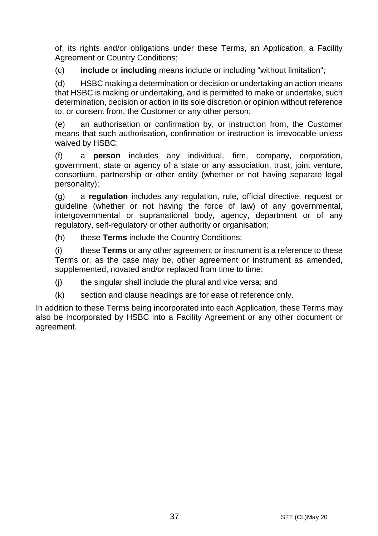of, its rights and/or obligations under these Terms, an Application, a Facility Agreement or Country Conditions;

(c) **include** or **including** means include or including "without limitation";

(d) HSBC making a determination or decision or undertaking an action means that HSBC is making or undertaking, and is permitted to make or undertake, such determination, decision or action in its sole discretion or opinion without reference to, or consent from, the Customer or any other person;

(e) an authorisation or confirmation by, or instruction from, the Customer means that such authorisation, confirmation or instruction is irrevocable unless waived by HSBC;

(f) a **person** includes any individual, firm, company, corporation, government, state or agency of a state or any association, trust, joint venture, consortium, partnership or other entity (whether or not having separate legal personality);

(g) a **regulation** includes any regulation, rule, official directive, request or guideline (whether or not having the force of law) of any governmental, intergovernmental or supranational body, agency, department or of any regulatory, self-regulatory or other authority or organisation;

(h) these **Terms** include the Country Conditions;

(i) these **Terms** or any other agreement or instrument is a reference to these Terms or, as the case may be, other agreement or instrument as amended, supplemented, novated and/or replaced from time to time;

 $(i)$  the singular shall include the plural and vice versa; and

(k) section and clause headings are for ease of reference only.

In addition to these Terms being incorporated into each Application, these Terms may also be incorporated by HSBC into a Facility Agreement or any other document or agreement.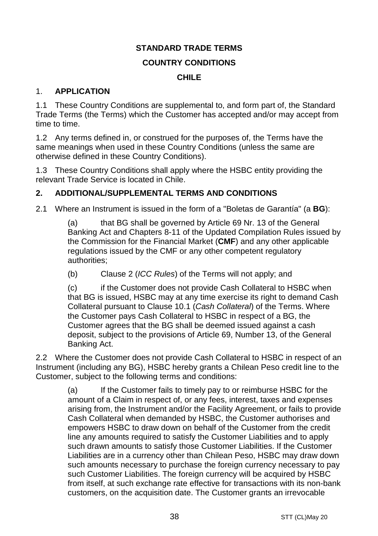### **STANDARD TRADE TERMS**

#### **COUNTRY CONDITIONS**

#### **CHILE**

#### 1. **APPLICATION**

1.1 These Country Conditions are supplemental to, and form part of, the Standard Trade Terms (the Terms) which the Customer has accepted and/or may accept from time to time.

1.2 Any terms defined in, or construed for the purposes of, the Terms have the same meanings when used in these Country Conditions (unless the same are otherwise defined in these Country Conditions).

1.3 These Country Conditions shall apply where the HSBC entity providing the relevant Trade Service is located in Chile.

## **2. ADDITIONAL/SUPPLEMENTAL TERMS AND CONDITIONS**

2.1 Where an Instrument is issued in the form of a "Boletas de Garantía" (a **BG**):

(a) that BG shall be governed by Article 69 Nr. 13 of the General Banking Act and Chapters 8-11 of the Updated Compilation Rules issued by the Commission for the Financial Market (**CMF**) and any other applicable regulations issued by the CMF or any other competent regulatory authorities;

(b) Clause 2 (*ICC Rules*) of the Terms will not apply; and

(c) if the Customer does not provide Cash Collateral to HSBC when that BG is issued, HSBC may at any time exercise its right to demand Cash Collateral pursuant to Clause 10.1 (*Cash Collateral*) of the Terms. Where the Customer pays Cash Collateral to HSBC in respect of a BG, the Customer agrees that the BG shall be deemed issued against a cash deposit, subject to the provisions of Article 69, Number 13, of the General Banking Act.

2.2 Where the Customer does not provide Cash Collateral to HSBC in respect of an Instrument (including any BG), HSBC hereby grants a Chilean Peso credit line to the Customer, subject to the following terms and conditions:

> (a) If the Customer fails to timely pay to or reimburse HSBC for the amount of a Claim in respect of, or any fees, interest, taxes and expenses arising from, the Instrument and/or the Facility Agreement, or fails to provide Cash Collateral when demanded by HSBC, the Customer authorises and empowers HSBC to draw down on behalf of the Customer from the credit line any amounts required to satisfy the Customer Liabilities and to apply such drawn amounts to satisfy those Customer Liabilities. If the Customer Liabilities are in a currency other than Chilean Peso, HSBC may draw down such amounts necessary to purchase the foreign currency necessary to pay such Customer Liabilities. The foreign currency will be acquired by HSBC from itself, at such exchange rate effective for transactions with its non-bank customers, on the acquisition date. The Customer grants an irrevocable